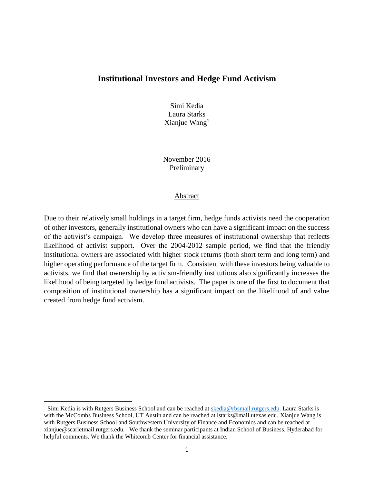### **Institutional Investors and Hedge Fund Activism**

Simi Kedia Laura Starks Xianjue Wang $<sup>1</sup>$ </sup>

November 2016 Preliminary

#### Abstract

Due to their relatively small holdings in a target firm, hedge funds activists need the cooperation of other investors, generally institutional owners who can have a significant impact on the success of the activist's campaign. We develop three measures of institutional ownership that reflects likelihood of activist support. Over the 2004-2012 sample period, we find that the friendly institutional owners are associated with higher stock returns (both short term and long term) and higher operating performance of the target firm. Consistent with these investors being valuable to activists, we find that ownership by activism-friendly institutions also significantly increases the likelihood of being targeted by hedge fund activists. The paper is one of the first to document that composition of institutional ownership has a significant impact on the likelihood of and value created from hedge fund activism.

 $\overline{a}$ 

<sup>&</sup>lt;sup>1</sup> Simi Kedia is with Rutgers Business School and can be reached at [skedia@rbsmail.rutgers.edu.](mailto:skedia@rbsmail.rutgers.edu) Laura Starks is with the McCombs Business School, UT Austin and can be reached at Istarks@mail.utexas.edu. Xianjue Wang is with Rutgers Business School and Southwestern University of Finance and Economics and can be reached at xianjue@scarletmail.rutgers.edu. We thank the seminar participants at Indian School of Business, Hyderabad for helpful comments. We thank the Whitcomb Center for financial assistance.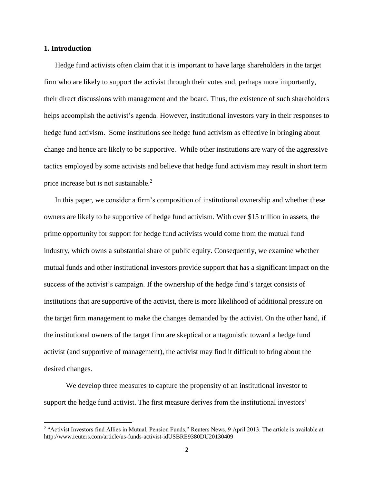#### **1. Introduction**

 $\overline{\phantom{a}}$ 

Hedge fund activists often claim that it is important to have large shareholders in the target firm who are likely to support the activist through their votes and, perhaps more importantly, their direct discussions with management and the board. Thus, the existence of such shareholders helps accomplish the activist's agenda. However, institutional investors vary in their responses to hedge fund activism. Some institutions see hedge fund activism as effective in bringing about change and hence are likely to be supportive. While other institutions are wary of the aggressive tactics employed by some activists and believe that hedge fund activism may result in short term price increase but is not sustainable. 2

In this paper, we consider a firm's composition of institutional ownership and whether these owners are likely to be supportive of hedge fund activism. With over \$15 trillion in assets, the prime opportunity for support for hedge fund activists would come from the mutual fund industry, which owns a substantial share of public equity. Consequently, we examine whether mutual funds and other institutional investors provide support that has a significant impact on the success of the activist's campaign. If the ownership of the hedge fund's target consists of institutions that are supportive of the activist, there is more likelihood of additional pressure on the target firm management to make the changes demanded by the activist. On the other hand, if the institutional owners of the target firm are skeptical or antagonistic toward a hedge fund activist (and supportive of management), the activist may find it difficult to bring about the desired changes.

We develop three measures to capture the propensity of an institutional investor to support the hedge fund activist. The first measure derives from the institutional investors'

<sup>&</sup>lt;sup>2</sup> "Activist Investors find Allies in Mutual, Pension Funds," Reuters News, 9 April 2013. The article is available at http://www.reuters.com/article/us-funds-activist-idUSBRE9380DU20130409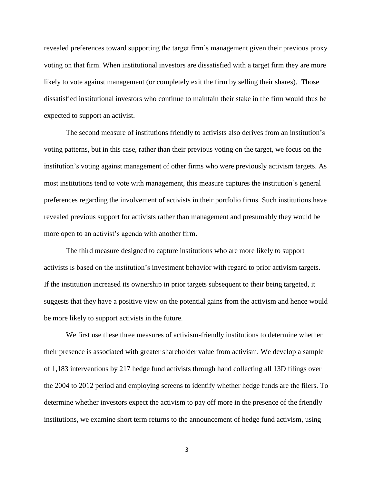revealed preferences toward supporting the target firm's management given their previous proxy voting on that firm. When institutional investors are dissatisfied with a target firm they are more likely to vote against management (or completely exit the firm by selling their shares). Those dissatisfied institutional investors who continue to maintain their stake in the firm would thus be expected to support an activist.

The second measure of institutions friendly to activists also derives from an institution's voting patterns, but in this case, rather than their previous voting on the target, we focus on the institution's voting against management of other firms who were previously activism targets. As most institutions tend to vote with management, this measure captures the institution's general preferences regarding the involvement of activists in their portfolio firms. Such institutions have revealed previous support for activists rather than management and presumably they would be more open to an activist's agenda with another firm.

The third measure designed to capture institutions who are more likely to support activists is based on the institution's investment behavior with regard to prior activism targets. If the institution increased its ownership in prior targets subsequent to their being targeted, it suggests that they have a positive view on the potential gains from the activism and hence would be more likely to support activists in the future.

We first use these three measures of activism-friendly institutions to determine whether their presence is associated with greater shareholder value from activism. We develop a sample of 1,183 interventions by 217 hedge fund activists through hand collecting all 13D filings over the 2004 to 2012 period and employing screens to identify whether hedge funds are the filers. To determine whether investors expect the activism to pay off more in the presence of the friendly institutions, we examine short term returns to the announcement of hedge fund activism, using

3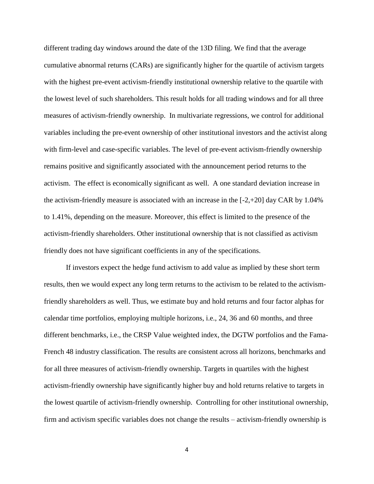different trading day windows around the date of the 13D filing. We find that the average cumulative abnormal returns (CARs) are significantly higher for the quartile of activism targets with the highest pre-event activism-friendly institutional ownership relative to the quartile with the lowest level of such shareholders. This result holds for all trading windows and for all three measures of activism-friendly ownership. In multivariate regressions, we control for additional variables including the pre-event ownership of other institutional investors and the activist along with firm-level and case-specific variables. The level of pre-event activism-friendly ownership remains positive and significantly associated with the announcement period returns to the activism. The effect is economically significant as well. A one standard deviation increase in the activism-friendly measure is associated with an increase in the  $[-2, +20]$  day CAR by 1.04% to 1.41%, depending on the measure. Moreover, this effect is limited to the presence of the activism-friendly shareholders. Other institutional ownership that is not classified as activism friendly does not have significant coefficients in any of the specifications.

If investors expect the hedge fund activism to add value as implied by these short term results, then we would expect any long term returns to the activism to be related to the activismfriendly shareholders as well. Thus, we estimate buy and hold returns and four factor alphas for calendar time portfolios, employing multiple horizons, i.e., 24, 36 and 60 months, and three different benchmarks, i.e., the CRSP Value weighted index, the DGTW portfolios and the Fama-French 48 industry classification. The results are consistent across all horizons, benchmarks and for all three measures of activism-friendly ownership. Targets in quartiles with the highest activism-friendly ownership have significantly higher buy and hold returns relative to targets in the lowest quartile of activism-friendly ownership. Controlling for other institutional ownership, firm and activism specific variables does not change the results – activism-friendly ownership is

4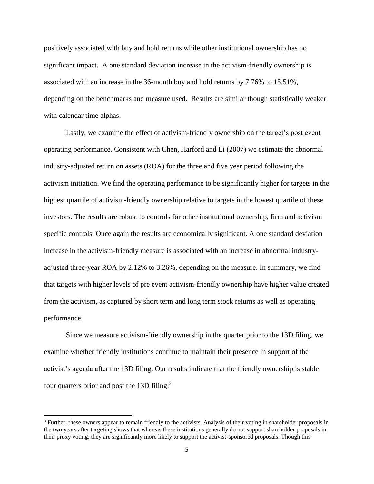positively associated with buy and hold returns while other institutional ownership has no significant impact. A one standard deviation increase in the activism-friendly ownership is associated with an increase in the 36-month buy and hold returns by 7.76% to 15.51%, depending on the benchmarks and measure used. Results are similar though statistically weaker with calendar time alphas.

Lastly, we examine the effect of activism-friendly ownership on the target's post event operating performance. Consistent with Chen, Harford and Li (2007) we estimate the abnormal industry-adjusted return on assets (ROA) for the three and five year period following the activism initiation. We find the operating performance to be significantly higher for targets in the highest quartile of activism-friendly ownership relative to targets in the lowest quartile of these investors. The results are robust to controls for other institutional ownership, firm and activism specific controls. Once again the results are economically significant. A one standard deviation increase in the activism-friendly measure is associated with an increase in abnormal industryadjusted three-year ROA by 2.12% to 3.26%, depending on the measure. In summary, we find that targets with higher levels of pre event activism-friendly ownership have higher value created from the activism, as captured by short term and long term stock returns as well as operating performance.

Since we measure activism-friendly ownership in the quarter prior to the 13D filing, we examine whether friendly institutions continue to maintain their presence in support of the activist's agenda after the 13D filing. Our results indicate that the friendly ownership is stable four quarters prior and post the 13D filing. $3$ 

<sup>&</sup>lt;sup>3</sup> Further, these owners appear to remain friendly to the activists. Analysis of their voting in shareholder proposals in the two years after targeting shows that whereas these institutions generally do not support shareholder proposals in their proxy voting, they are significantly more likely to support the activist-sponsored proposals. Though this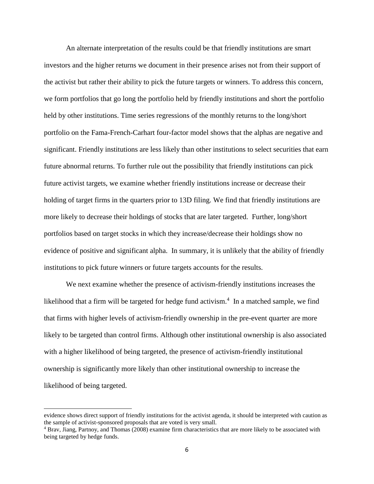An alternate interpretation of the results could be that friendly institutions are smart investors and the higher returns we document in their presence arises not from their support of the activist but rather their ability to pick the future targets or winners. To address this concern, we form portfolios that go long the portfolio held by friendly institutions and short the portfolio held by other institutions. Time series regressions of the monthly returns to the long/short portfolio on the Fama-French-Carhart four-factor model shows that the alphas are negative and significant. Friendly institutions are less likely than other institutions to select securities that earn future abnormal returns. To further rule out the possibility that friendly institutions can pick future activist targets, we examine whether friendly institutions increase or decrease their holding of target firms in the quarters prior to 13D filing. We find that friendly institutions are more likely to decrease their holdings of stocks that are later targeted. Further, long/short portfolios based on target stocks in which they increase/decrease their holdings show no evidence of positive and significant alpha. In summary, it is unlikely that the ability of friendly institutions to pick future winners or future targets accounts for the results.

We next examine whether the presence of activism-friendly institutions increases the likelihood that a firm will be targeted for hedge fund activism. $4$  In a matched sample, we find that firms with higher levels of activism-friendly ownership in the pre-event quarter are more likely to be targeted than control firms. Although other institutional ownership is also associated with a higher likelihood of being targeted, the presence of activism-friendly institutional ownership is significantly more likely than other institutional ownership to increase the likelihood of being targeted.

evidence shows direct support of friendly institutions for the activist agenda, it should be interpreted with caution as the sample of activist-sponsored proposals that are voted is very small.

<sup>4</sup> Brav, Jiang, Partnoy, and Thomas (2008) examine firm characteristics that are more likely to be associated with being targeted by hedge funds.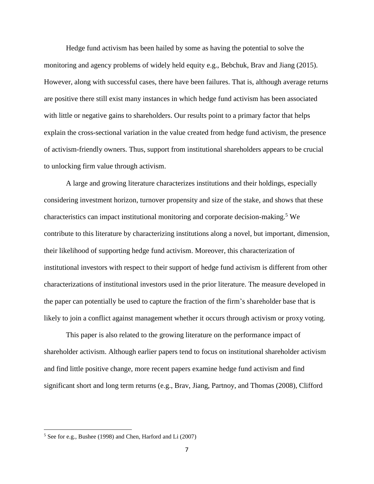Hedge fund activism has been hailed by some as having the potential to solve the monitoring and agency problems of widely held equity e.g., Bebchuk, Brav and Jiang (2015). However, along with successful cases, there have been failures. That is, although average returns are positive there still exist many instances in which hedge fund activism has been associated with little or negative gains to shareholders. Our results point to a primary factor that helps explain the cross-sectional variation in the value created from hedge fund activism, the presence of activism-friendly owners. Thus, support from institutional shareholders appears to be crucial to unlocking firm value through activism.

A large and growing literature characterizes institutions and their holdings, especially considering investment horizon, turnover propensity and size of the stake, and shows that these characteristics can impact institutional monitoring and corporate decision-making. <sup>5</sup> We contribute to this literature by characterizing institutions along a novel, but important, dimension, their likelihood of supporting hedge fund activism. Moreover, this characterization of institutional investors with respect to their support of hedge fund activism is different from other characterizations of institutional investors used in the prior literature. The measure developed in the paper can potentially be used to capture the fraction of the firm's shareholder base that is likely to join a conflict against management whether it occurs through activism or proxy voting.

This paper is also related to the growing literature on the performance impact of shareholder activism. Although earlier papers tend to focus on institutional shareholder activism and find little positive change, more recent papers examine hedge fund activism and find significant short and long term returns (e.g., Brav, Jiang, Partnoy, and Thomas (2008), Clifford

<sup>5</sup> See for e.g., Bushee (1998) and Chen, Harford and Li (2007)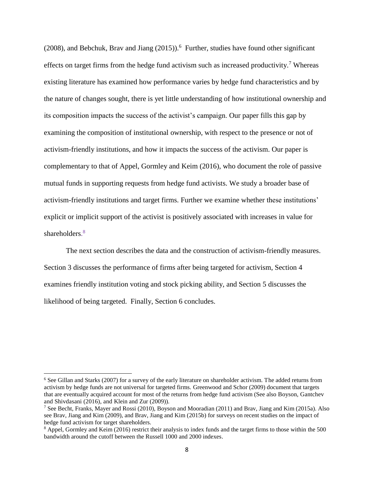$(2008)$ , and Bebchuk, Brav and Jiang  $(2015)$ .<sup>6</sup> Further, studies have found other significant effects on target firms from the hedge fund activism such as increased productivity.<sup>7</sup> Whereas existing literature has examined how performance varies by hedge fund characteristics and by the nature of changes sought, there is yet little understanding of how institutional ownership and its composition impacts the success of the activist's campaign. Our paper fills this gap by examining the composition of institutional ownership, with respect to the presence or not of activism-friendly institutions, and how it impacts the success of the activism. Our paper is complementary to that of Appel, Gormley and Keim (2016), who document the role of passive mutual funds in supporting requests from hedge fund activists. We study a broader base of activism-friendly institutions and target firms. Further we examine whether these institutions' explicit or implicit support of the activist is positively associated with increases in value for shareholders.<sup>8</sup>

The next section describes the data and the construction of activism-friendly measures. Section 3 discusses the performance of firms after being targeted for activism, Section 4 examines friendly institution voting and stock picking ability, and Section 5 discusses the likelihood of being targeted. Finally, Section 6 concludes.

<sup>6</sup> See Gillan and Starks (2007) for a survey of the early literature on shareholder activism. The added returns from activism by hedge funds are not universal for targeted firms. Greenwood and Schor (2009) document that targets that are eventually acquired account for most of the returns from hedge fund activism (See also Boyson, Gantchev and Shivdasani (2016), and Klein and Zur (2009)).

<sup>7</sup> See Becht, Franks, Mayer and Rossi (2010), Boyson and Mooradian (2011) and Brav, Jiang and Kim (2015a). Also see Brav, Jiang and Kim (2009), and Brav, Jiang and Kim (2015b) for surveys on recent studies on the impact of hedge fund activism for target shareholders.

<sup>8</sup> Appel, Gormley and Keim (2016) restrict their analysis to index funds and the target firms to those within the 500 bandwidth around the cutoff between the Russell 1000 and 2000 indexes.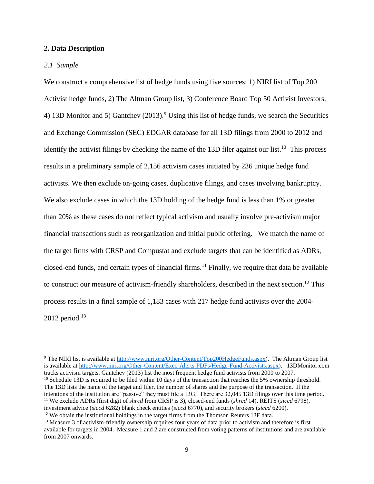### **2. Data Description**

#### *2.1 Sample*

l

We construct a comprehensive list of hedge funds using five sources: 1) NIRI list of Top 200 Activist hedge funds, 2) The Altman Group list, 3) Conference Board Top 50 Activist Investors, 4) 13D Monitor and 5) Gantchev  $(2013)$ .<sup>9</sup> Using this list of hedge funds, we search the Securities and Exchange Commission (SEC) EDGAR database for all 13D filings from 2000 to 2012 and identify the activist filings by checking the name of the 13D filer against our list.<sup>10</sup> This process results in a preliminary sample of 2,156 activism cases initiated by 236 unique hedge fund activists. We then exclude on-going cases, duplicative filings, and cases involving bankruptcy. We also exclude cases in which the 13D holding of the hedge fund is less than 1% or greater than 20% as these cases do not reflect typical activism and usually involve pre-activism major financial transactions such as reorganization and initial public offering. We match the name of the target firms with CRSP and Compustat and exclude targets that can be identified as ADRs, closed-end funds, and certain types of financial firms.<sup>11</sup> Finally, we require that data be available to construct our measure of activism-friendly shareholders, described in the next section.<sup>12</sup> This process results in a final sample of 1,183 cases with 217 hedge fund activists over the 2004-  $2012$  period.<sup>13</sup>

<sup>9</sup> The NIRI list is available at [http://www.niri.org/Other-Content/Top200HedgeFunds.aspx\)](http://www.niri.org/Other-Content/Top200HedgeFunds.aspx). The Altman Group list is available at [http://www.niri.org/Other-Content/Exec-Alerts-PDFs/Hedge-Fund-Activists.aspx\)](http://www.niri.org/Other-Content/Exec-Alerts-PDFs/Hedge-Fund-Activists.aspx). 13DMonitor.com tracks activism targets. Gantchev (2013) list the most frequent hedge fund activists from 2000 to 2007.  $10$  Schedule 13D is required to be filed within 10 days of the transaction that reaches the 5% ownership threshold. The 13D lists the name of the target and filer, the number of shares and the purpose of the transaction. If the intentions of the institution are "passive" they must file a 13G. There are 32,045 13D filings over this time period. <sup>11</sup> We exclude ADRs (first digit of *shrcd* from CRSP is 3), closed-end funds (*shrcd* 14), REITS (*siccd* 6798), investment advice (*siccd* 6282) blank check entities (*siccd* 6770), and security brokers (*siccd* 6200).

<sup>&</sup>lt;sup>12</sup> We obtain the institutional holdings in the target firms from the Thomson Reuters 13F data.

<sup>&</sup>lt;sup>13</sup> Measure 3 of activism-friendly ownership requires four years of data prior to activism and therefore is first available for targets in 2004. Measure 1 and 2 are constructed from voting patterns of institutions and are available from 2007 onwards.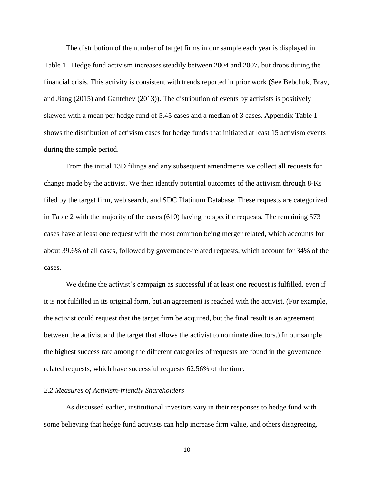The distribution of the number of target firms in our sample each year is displayed in Table 1. Hedge fund activism increases steadily between 2004 and 2007, but drops during the financial crisis. This activity is consistent with trends reported in prior work (See Bebchuk, Brav, and Jiang (2015) and Gantchev (2013)). The distribution of events by activists is positively skewed with a mean per hedge fund of 5.45 cases and a median of 3 cases. Appendix Table 1 shows the distribution of activism cases for hedge funds that initiated at least 15 activism events during the sample period.

From the initial 13D filings and any subsequent amendments we collect all requests for change made by the activist. We then identify potential outcomes of the activism through 8-Ks filed by the target firm, web search, and SDC Platinum Database. These requests are categorized in Table 2 with the majority of the cases (610) having no specific requests. The remaining 573 cases have at least one request with the most common being merger related, which accounts for about 39.6% of all cases, followed by governance-related requests, which account for 34% of the cases.

We define the activist's campaign as successful if at least one request is fulfilled, even if it is not fulfilled in its original form, but an agreement is reached with the activist. (For example, the activist could request that the target firm be acquired, but the final result is an agreement between the activist and the target that allows the activist to nominate directors.) In our sample the highest success rate among the different categories of requests are found in the governance related requests, which have successful requests 62.56% of the time.

### *2.2 Measures of Activism-friendly Shareholders*

As discussed earlier, institutional investors vary in their responses to hedge fund with some believing that hedge fund activists can help increase firm value, and others disagreeing.

10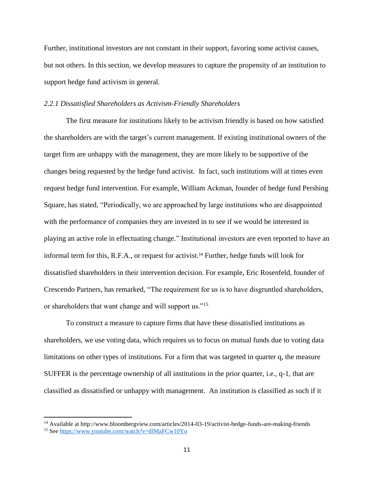Further, institutional investors are not constant in their support, favoring some activist causes, but not others. In this section, we develop measures to capture the propensity of an institution to support hedge fund activism in general.

#### *2.2.1 Dissatisfied Shareholders as Activism-Friendly Shareholders*

The first measure for institutions likely to be activism friendly is based on how satisfied the shareholders are with the target's current management. If existing institutional owners of the target firm are unhappy with the management, they are more likely to be supportive of the changes being requested by the hedge fund activist. In fact, such institutions will at times even request hedge fund intervention. For example, William Ackman, founder of hedge fund Pershing Square, has stated, "Periodically, we are approached by large institutions who are disappointed with the performance of companies they are invested in to see if we would be interested in playing an active role in effectuating change." Institutional investors are even reported to have an informal term for this, R.F.A., or request for activist.<sup>14</sup> Further, hedge funds will look for dissatisfied shareholders in their intervention decision. For example, Eric Rosenfeld, founder of Crescendo Partners, has remarked, "The requirement for us is to have disgruntled shareholders, or shareholders that want change and will support us."<sup>15</sup>

To construct a measure to capture firms that have these dissatisfied institutions as shareholders, we use voting data, which requires us to focus on mutual funds due to voting data limitations on other types of institutions. For a firm that was targeted in quarter q, the measure SUFFER is the percentage ownership of all institutions in the prior quarter, i.e., q-1, that are classified as dissatisfied or unhappy with management. An institution is classified as such if it

 $\overline{a}$ 

<sup>14</sup> Available at http://www.bloombergview.com/articles/2014-03-19/activist-hedge-funds-are-making-friends <sup>15</sup> See<https://www.youtube.com/watch?v=dfMaFCw10Yo>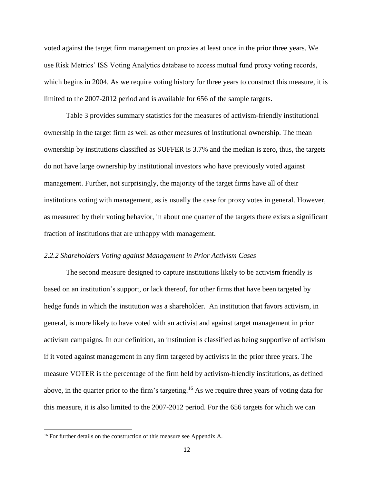voted against the target firm management on proxies at least once in the prior three years. We use Risk Metrics' ISS Voting Analytics database to access mutual fund proxy voting records, which begins in 2004. As we require voting history for three years to construct this measure, it is limited to the 2007-2012 period and is available for 656 of the sample targets.

Table 3 provides summary statistics for the measures of activism-friendly institutional ownership in the target firm as well as other measures of institutional ownership. The mean ownership by institutions classified as SUFFER is 3.7% and the median is zero, thus, the targets do not have large ownership by institutional investors who have previously voted against management. Further, not surprisingly, the majority of the target firms have all of their institutions voting with management, as is usually the case for proxy votes in general. However, as measured by their voting behavior, in about one quarter of the targets there exists a significant fraction of institutions that are unhappy with management.

#### *2.2.2 Shareholders Voting against Management in Prior Activism Cases*

The second measure designed to capture institutions likely to be activism friendly is based on an institution's support, or lack thereof, for other firms that have been targeted by hedge funds in which the institution was a shareholder. An institution that favors activism, in general, is more likely to have voted with an activist and against target management in prior activism campaigns. In our definition, an institution is classified as being supportive of activism if it voted against management in any firm targeted by activists in the prior three years. The measure VOTER is the percentage of the firm held by activism-friendly institutions, as defined above, in the quarter prior to the firm's targeting.<sup>16</sup> As we require three years of voting data for this measure, it is also limited to the 2007-2012 period. For the 656 targets for which we can

<sup>&</sup>lt;sup>16</sup> For further details on the construction of this measure see Appendix A.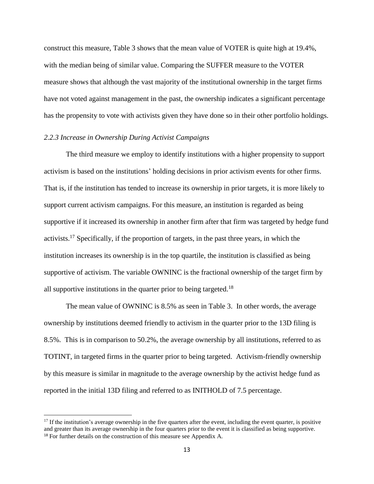construct this measure, Table 3 shows that the mean value of VOTER is quite high at 19.4%, with the median being of similar value. Comparing the SUFFER measure to the VOTER measure shows that although the vast majority of the institutional ownership in the target firms have not voted against management in the past, the ownership indicates a significant percentage has the propensity to vote with activists given they have done so in their other portfolio holdings.

### *2.2.3 Increase in Ownership During Activist Campaigns*

 $\overline{\phantom{a}}$ 

The third measure we employ to identify institutions with a higher propensity to support activism is based on the institutions' holding decisions in prior activism events for other firms. That is, if the institution has tended to increase its ownership in prior targets, it is more likely to support current activism campaigns. For this measure, an institution is regarded as being supportive if it increased its ownership in another firm after that firm was targeted by hedge fund activists.<sup>17</sup> Specifically, if the proportion of targets, in the past three years, in which the institution increases its ownership is in the top quartile, the institution is classified as being supportive of activism. The variable OWNINC is the fractional ownership of the target firm by all supportive institutions in the quarter prior to being targeted.<sup>18</sup>

The mean value of OWNINC is 8.5% as seen in Table 3. In other words, the average ownership by institutions deemed friendly to activism in the quarter prior to the 13D filing is 8.5%. This is in comparison to 50.2%, the average ownership by all institutions, referred to as TOTINT, in targeted firms in the quarter prior to being targeted. Activism-friendly ownership by this measure is similar in magnitude to the average ownership by the activist hedge fund as reported in the initial 13D filing and referred to as INITHOLD of 7.5 percentage.

 $17$  If the institution's average ownership in the five quarters after the event, including the event quarter, is positive and greater than its average ownership in the four quarters prior to the event it is classified as being supportive. <sup>18</sup> For further details on the construction of this measure see Appendix A.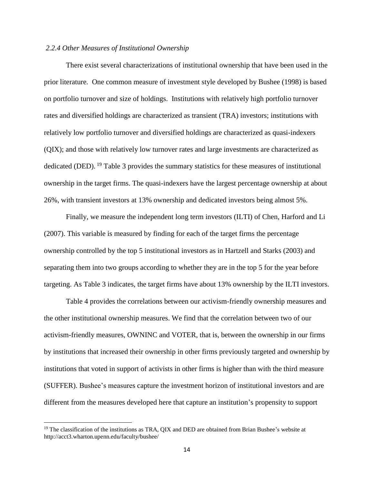### *2.2.4 Other Measures of Institutional Ownership*

There exist several characterizations of institutional ownership that have been used in the prior literature. One common measure of investment style developed by Bushee (1998) is based on portfolio turnover and size of holdings. Institutions with relatively high portfolio turnover rates and diversified holdings are characterized as transient (TRA) investors; institutions with relatively low portfolio turnover and diversified holdings are characterized as quasi-indexers (QIX); and those with relatively low turnover rates and large investments are characterized as dedicated (DED). <sup>19</sup> Table 3 provides the summary statistics for these measures of institutional ownership in the target firms. The quasi-indexers have the largest percentage ownership at about 26%, with transient investors at 13% ownership and dedicated investors being almost 5%.

Finally, we measure the independent long term investors (ILTI) of Chen, Harford and Li (2007). This variable is measured by finding for each of the target firms the percentage ownership controlled by the top 5 institutional investors as in Hartzell and Starks (2003) and separating them into two groups according to whether they are in the top 5 for the year before targeting. As Table 3 indicates, the target firms have about 13% ownership by the ILTI investors.

Table 4 provides the correlations between our activism-friendly ownership measures and the other institutional ownership measures. We find that the correlation between two of our activism-friendly measures, OWNINC and VOTER, that is, between the ownership in our firms by institutions that increased their ownership in other firms previously targeted and ownership by institutions that voted in support of activists in other firms is higher than with the third measure (SUFFER). Bushee's measures capture the investment horizon of institutional investors and are different from the measures developed here that capture an institution's propensity to support

<sup>&</sup>lt;sup>19</sup> The classification of the institutions as TRA, QIX and DED are obtained from Brian Bushee's website at http://acct3.wharton.upenn.edu/faculty/bushee/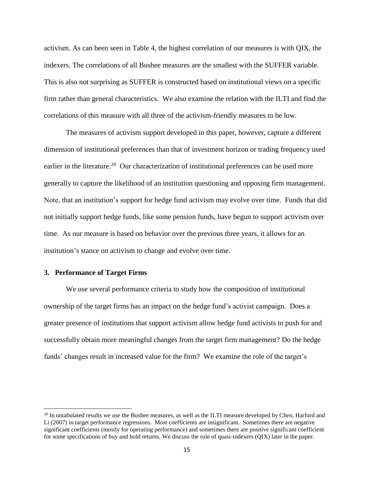activism. As can been seen in Table 4, the highest correlation of our measures is with QIX, the indexers. The correlations of all Bushee measures are the smallest with the SUFFER variable. This is also not surprising as SUFFER is constructed based on institutional views on a specific firm rather than general characteristics. We also examine the relation with the ILTI and find the correlations of this measure with all three of the activism-friendly measures to be low.

The measures of activism support developed in this paper, however, capture a different dimension of institutional preferences than that of investment horizon or trading frequency used earlier in the literature.<sup>20</sup> Our characterization of institutional preferences can be used more generally to capture the likelihood of an institution questioning and opposing firm management. Note, that an institution's support for hedge fund activism may evolve over time. Funds that did not initially support hedge funds, like some pension funds, have begun to support activism over time. As our measure is based on behavior over the previous three years, it allows for an institution's stance on activism to change and evolve over time.

#### **3. Performance of Target Firms**

 $\overline{\phantom{a}}$ 

We use several performance criteria to study how the composition of institutional ownership of the target firms has an impact on the hedge fund's activist campaign. Does a greater presence of institutions that support activism allow hedge fund activists to push for and successfully obtain more meaningful changes from the target firm management? Do the hedge funds' changes result in increased value for the firm? We examine the role of the target's

<sup>&</sup>lt;sup>20</sup> In untabulated results we use the Bushee measures, as well as the ILTI measure developed by Chen, Harford and Li (2007) in target performance regressions. Most coefficients are insignificant. Sometimes there are negative significant coefficients (mostly for operating performance) and sometimes there are positive significant coefficient for some specifications of buy and hold returns. We discuss the role of quasi-indexers (QIX) later in the paper.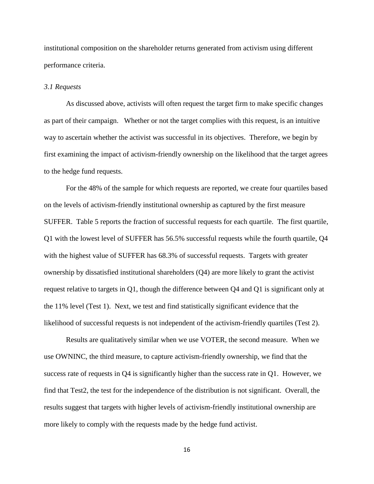institutional composition on the shareholder returns generated from activism using different performance criteria.

#### *3.1 Requests*

As discussed above, activists will often request the target firm to make specific changes as part of their campaign. Whether or not the target complies with this request, is an intuitive way to ascertain whether the activist was successful in its objectives. Therefore, we begin by first examining the impact of activism-friendly ownership on the likelihood that the target agrees to the hedge fund requests.

For the 48% of the sample for which requests are reported, we create four quartiles based on the levels of activism-friendly institutional ownership as captured by the first measure SUFFER. Table 5 reports the fraction of successful requests for each quartile. The first quartile, Q1 with the lowest level of SUFFER has 56.5% successful requests while the fourth quartile, Q4 with the highest value of SUFFER has 68.3% of successful requests. Targets with greater ownership by dissatisfied institutional shareholders (Q4) are more likely to grant the activist request relative to targets in Q1, though the difference between Q4 and Q1 is significant only at the 11% level (Test 1). Next, we test and find statistically significant evidence that the likelihood of successful requests is not independent of the activism-friendly quartiles (Test 2).

Results are qualitatively similar when we use VOTER, the second measure. When we use OWNINC, the third measure, to capture activism-friendly ownership, we find that the success rate of requests in Q4 is significantly higher than the success rate in Q1. However, we find that Test2, the test for the independence of the distribution is not significant. Overall, the results suggest that targets with higher levels of activism-friendly institutional ownership are more likely to comply with the requests made by the hedge fund activist.

16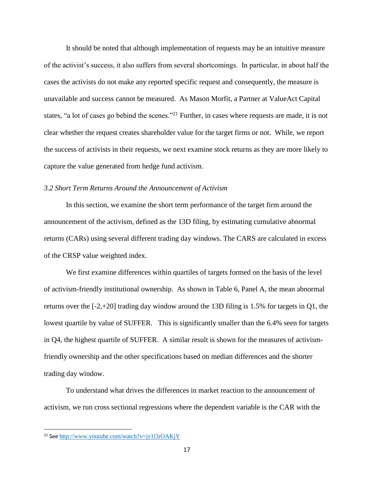It should be noted that although implementation of requests may be an intuitive measure of the activist's success, it also suffers from several shortcomings. In particular, in about half the cases the activists do not make any reported specific request and consequently, the measure is unavailable and success cannot be measured. As Mason Morfit, a Partner at ValueAct Capital states, "a lot of cases go behind the scenes."<sup>21</sup> Further, in cases where requests are made, it is not clear whether the request creates shareholder value for the target firms or not. While, we report the success of activists in their requests, we next examine stock returns as they are more likely to capture the value generated from hedge fund activism.

### *3.2 Short Term Returns Around the Announcement of Activism*

In this section, we examine the short term performance of the target firm around the announcement of the activism, defined as the 13D filing, by estimating cumulative abnormal returns (CARs) using several different trading day windows. The CARS are calculated in excess of the CRSP value weighted index.

We first examine differences within quartiles of targets formed on the basis of the level of activism-friendly institutional ownership. As shown in Table 6, Panel A, the mean abnormal returns over the [-2,+20] trading day window around the 13D filing is 1.5% for targets in Q1, the lowest quartile by value of SUFFER. This is significantly smaller than the 6.4% seen for targets in Q4, the highest quartile of SUFFER. A similar result is shown for the measures of activismfriendly ownership and the other specifications based on median differences and the shorter trading day window.

To understand what drives the differences in market reaction to the announcement of activism, we run cross sectional regressions where the dependent variable is the CAR with the

<sup>21</sup> See <http://www.youtube.com/watch?v=jy1l3rOAKjY>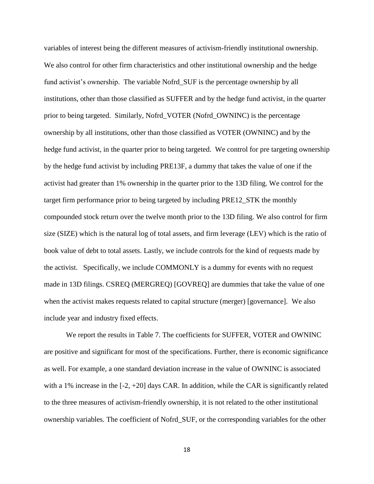variables of interest being the different measures of activism-friendly institutional ownership. We also control for other firm characteristics and other institutional ownership and the hedge fund activist's ownership. The variable Nofrd\_SUF is the percentage ownership by all institutions, other than those classified as SUFFER and by the hedge fund activist, in the quarter prior to being targeted. Similarly, Nofrd\_VOTER (Nofrd\_OWNINC) is the percentage ownership by all institutions, other than those classified as VOTER (OWNINC) and by the hedge fund activist, in the quarter prior to being targeted. We control for pre targeting ownership by the hedge fund activist by including PRE13F, a dummy that takes the value of one if the activist had greater than 1% ownership in the quarter prior to the 13D filing. We control for the target firm performance prior to being targeted by including PRE12\_STK the monthly compounded stock return over the twelve month prior to the 13D filing. We also control for firm size (SIZE) which is the natural log of total assets, and firm leverage (LEV) which is the ratio of book value of debt to total assets. Lastly, we include controls for the kind of requests made by the activist. Specifically, we include COMMONLY is a dummy for events with no request made in 13D filings. CSREQ (MERGREQ) [GOVREQ] are dummies that take the value of one when the activist makes requests related to capital structure (merger) [governance]. We also include year and industry fixed effects.

We report the results in Table 7. The coefficients for SUFFER, VOTER and OWNINC are positive and significant for most of the specifications. Further, there is economic significance as well. For example, a one standard deviation increase in the value of OWNINC is associated with a 1% increase in the [-2, +20] days CAR. In addition, while the CAR is significantly related to the three measures of activism-friendly ownership, it is not related to the other institutional ownership variables. The coefficient of Nofrd\_SUF, or the corresponding variables for the other

18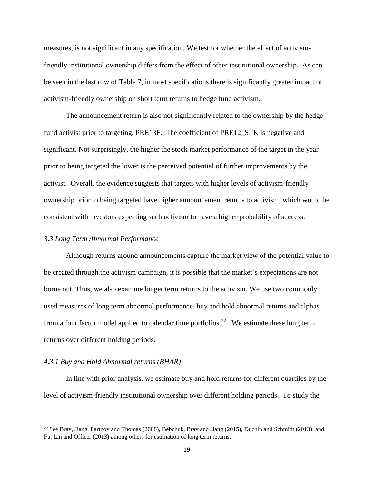measures, is not significant in any specification. We test for whether the effect of activismfriendly institutional ownership differs from the effect of other institutional ownership. As can be seen in the last row of Table 7, in most specifications there is significantly greater impact of activism-friendly ownership on short term returns to hedge fund activism.

The announcement return is also not significantly related to the ownership by the hedge fund activist prior to targeting, PRE13F. The coefficient of PRE12\_STK is negative and significant. Not surprisingly, the higher the stock market performance of the target in the year prior to being targeted the lower is the perceived potential of further improvements by the activist. Overall, the evidence suggests that targets with higher levels of activism-friendly ownership prior to being targeted have higher announcement returns to activism, which would be consistent with investors expecting such activism to have a higher probability of success.

#### *3.3 Long Term Abnormal Performance*

Although returns around announcements capture the market view of the potential value to be created through the activism campaign, it is possible that the market's expectations are not borne out. Thus, we also examine longer term returns to the activism. We use two commonly used measures of long term abnormal performance, buy and hold abnormal returns and alphas from a four factor model applied to calendar time portfolios.<sup>22</sup> We estimate these long term returns over different holding periods.

#### *4.3.1 Buy and Hold Abnormal returns (BHAR)*

l

In line with prior analysis, we estimate buy and hold returns for different quartiles by the level of activism-friendly institutional ownership over different holding periods. To study the

<sup>&</sup>lt;sup>22</sup> See Brav, Jiang, Partnoy and Thomas (2008), Bebchuk, Brav and Jiang (2015), Duchin and Schmidt (2013), and Fu, Lin and Officer (2013) among others for estimation of long term returns.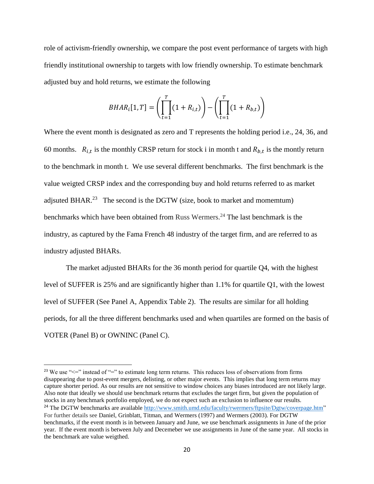role of activism-friendly ownership, we compare the post event performance of targets with high friendly institutional ownership to targets with low friendly ownership. To estimate benchmark adjusted buy and hold returns, we estimate the following

$$
BHAR_i[1, T] = \left(\prod_{t=1}^T (1 + R_{i,t})\right) - \left(\prod_{t=1}^T (1 + R_{b,t})\right)
$$

Where the event month is designated as zero and T represents the holding period i.e., 24, 36, and 60 months.  $R_{i,t}$  is the monthly CRSP return for stock i in month t and  $R_{b,t}$  is the montly return to the benchmark in month t. We use several different benchmarks. The first benchmark is the value weigted CRSP index and the corresponding buy and hold returns referred to as market adjsuted BHAR.<sup>23</sup> The second is the DGTW (size, book to market and momemtum) benchmarks which have been obtained from Russ Wermers. <sup>24</sup> The last benchmark is the industry, as captured by the Fama French 48 industry of the target firm, and are referred to as industry adjusted BHARs.

The market adjusted BHARs for the 36 month period for quartile Q4, with the highest level of SUFFER is 25% and are significantly higher than 1.1% for quartile Q1, with the lowest level of SUFFER (See Panel A, Appendix Table 2). The results are similar for all holding periods, for all the three different benchmarks used and when quartiles are formed on the basis of VOTER (Panel B) or OWNINC (Panel C).

<sup>&</sup>lt;sup>23</sup> We use " $\leq$ " instead of "=" to estimate long term returns. This reduces loss of observations from firms disappearing due to post-event mergers, delisting, or other major events. This implies that long term returns may capture shorter period. As our results are not sensitive to window choices any biases introduced are not likely large. Also note that ideally we should use benchmark returns that excludes the target firm, but given the population of stocks in any benchmark portfolio employed, we do not expect such an exclusion to influence our results.

<sup>&</sup>lt;sup>24</sup> The DGTW benchmarks are available [http://www.smith.umd.edu/faculty/rwermers/ftpsite/Dgtw/coverpage.htm"](http://www.smith.umd.edu/faculty/rwermers/ftpsite/Dgtw/coverpage.htm) For further details see Daniel, Grinblatt, Titman, and Wermers (1997) and Wermers (2003). For DGTW benchmarks, if the event month is in between January and June, we use benchmark assignments in June of the prior year. If the event month is between July and Decemeber we use assignments in June of the same year. All stocks in the benchmark are value weigthed.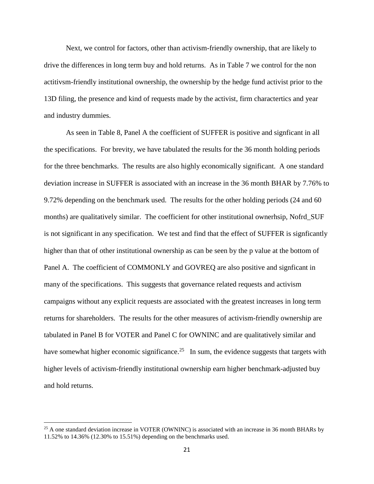Next, we control for factors, other than activism-friendly ownership, that are likely to drive the differences in long term buy and hold returns. As in Table 7 we control for the non actitivsm-friendly institutional ownership, the ownership by the hedge fund activist prior to the 13D filing, the presence and kind of requests made by the activist, firm charactertics and year and industry dummies.

As seen in Table 8, Panel A the coefficient of SUFFER is positive and signficant in all the specifications. For brevity, we have tabulated the results for the 36 month holding periods for the three benchmarks. The results are also highly economically significant. A one standard deviation increase in SUFFER is associated with an increase in the 36 month BHAR by 7.76% to 9.72% depending on the benchmark used. The results for the other holding periods (24 and 60 months) are qualitatively similar. The coefficient for other institutional ownerhsip, Nofrd\_SUF is not significant in any specification. We test and find that the effect of SUFFER is signficantly higher than that of other institutional ownership as can be seen by the p value at the bottom of Panel A. The coefficient of COMMONLY and GOVREQ are also positive and signficant in many of the specifications. This suggests that governance related requests and activism campaigns without any explicit requests are associated with the greatest increases in long term returns for shareholders. The results for the other measures of activism-friendly ownership are tabulated in Panel B for VOTER and Panel C for OWNINC and are qualitatively similar and have somewhat higher economic significance.<sup>25</sup> In sum, the evidence suggests that targets with higher levels of activism-friendly institutional ownership earn higher benchmark-adjusted buy and hold returns.

<sup>&</sup>lt;sup>25</sup> A one standard deviation increase in VOTER (OWNINC) is associated with an increase in 36 month BHARs by 11.52% to 14.36% (12.30% to 15.51%) depending on the benchmarks used.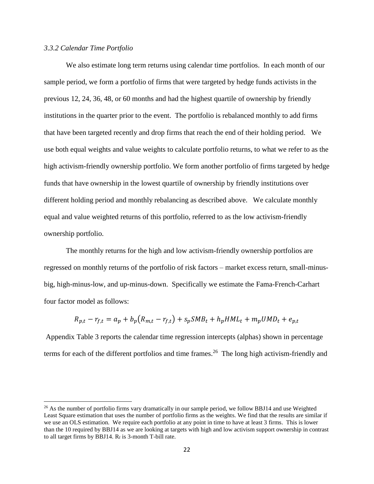### *3.3.2 Calendar Time Portfolio*

 $\overline{a}$ 

We also estimate long term returns using calendar time portfolios. In each month of our sample period, we form a portfolio of firms that were targeted by hedge funds activists in the previous 12, 24, 36, 48, or 60 months and had the highest quartile of ownership by friendly institutions in the quarter prior to the event. The portfolio is rebalanced monthly to add firms that have been targeted recently and drop firms that reach the end of their holding period. We use both equal weights and value weights to calculate portfolio returns, to what we refer to as the high activism-friendly ownership portfolio. We form another portfolio of firms targeted by hedge funds that have ownership in the lowest quartile of ownership by friendly institutions over different holding period and monthly rebalancing as described above. We calculate monthly equal and value weighted returns of this portfolio, referred to as the low activism-friendly ownership portfolio.

The monthly returns for the high and low activism-friendly ownership portfolios are regressed on monthly returns of the portfolio of risk factors – market excess return, small-minusbig, high-minus-low, and up-minus-down. Specifically we estimate the Fama-French-Carhart four factor model as follows:

$$
R_{p,t} - r_{f,t} = a_p + b_p (R_{m,t} - r_{f,t}) + s_p SMB_t + h_p HML_t + m_p UMD_t + e_{p,t}
$$

Appendix Table 3 reports the calendar time regression intercepts (alphas) shown in percentage terms for each of the different portfolios and time frames. <sup>26</sup> The long high activism-friendly and

<sup>&</sup>lt;sup>26</sup> As the number of portfolio firms vary dramatically in our sample period, we follow BBJ14 and use Weighted Least Square estimation that uses the number of portfolio firms as the weights. We find that the results are similar if we use an OLS estimation. We require each portfolio at any point in time to have at least 3 firms. This is lower than the 10 required by BBJ14 as we are looking at targets with high and low activism support ownership in contrast to all target firms by BBJ14.  $R_f$  is 3-month T-bill rate.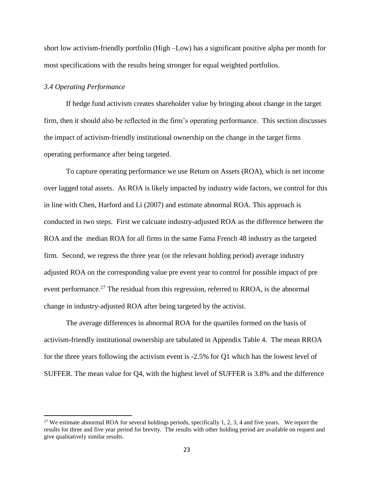short low activism-friendly portfolio (High –Low) has a significant positive alpha per month for most specifications with the results being stronger for equal weighted portfolios.

### *3.4 Operating Performance*

 $\overline{\phantom{a}}$ 

If hedge fund activism creates shareholder value by bringing about change in the target firm, then it should also be reflected in the firm's operating performance. This section discusses the impact of activism-friendly institutional ownership on the change in the target firms operating performance after being targeted.

To capture operating performance we use Return on Assets (ROA), which is net income over lagged total assets. As ROA is likely impacted by industry wide factors, we control for this in line with Chen, Harford and Li (2007) and estimate abnormal ROA. This approach is conducted in two steps. First we calcuate industry-adjusted ROA as the difference between the ROA and the median ROA for all firms in the same Fama French 48 industry as the targeted firm. Second, we regress the three year (or the relevant holding period) average industry adjusted ROA on the corresponding value pre event year to control for possible impact of pre event performance.<sup>27</sup> The residual from this regression, referred to RROA, is the abnormal change in industry-adjusted ROA after being targeted by the activist.

The average differences in abnormal ROA for the quartiles formed on the basis of activism-friendly institutional ownership are tabulated in Appendix Table 4. The mean RROA for the three years following the activism event is -2.5% for Q1 which has the lowest level of SUFFER. The mean value for Q4, with the highest level of SUFFER is 3.8% and the difference

<sup>&</sup>lt;sup>27</sup> We estimate abnormal ROA for several holdings periods, specifically 1, 2, 3, 4 and five years. We report the results for three and five year period for brevity. The results with other holding period are available on request and give qualitatively similar results.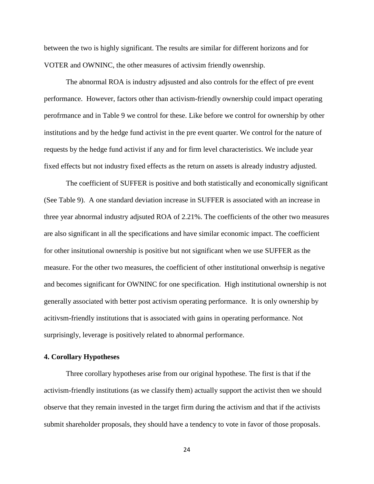between the two is highly significant. The results are similar for different horizons and for VOTER and OWNINC, the other measures of activsim friendly owenrship.

The abnormal ROA is industry adjsusted and also controls for the effect of pre event performance. However, factors other than activism-friendly ownership could impact operating perofrmance and in Table 9 we control for these. Like before we control for ownership by other institutions and by the hedge fund activist in the pre event quarter. We control for the nature of requests by the hedge fund activist if any and for firm level characteristics. We include year fixed effects but not industry fixed effects as the return on assets is already industry adjusted.

The coefficient of SUFFER is positive and both statistically and economically significant (See Table 9). A one standard deviation increase in SUFFER is associated with an increase in three year abnormal industry adjsuted ROA of 2.21%. The coefficients of the other two measures are also significant in all the specifications and have similar economic impact. The coefficient for other insitutional ownership is positive but not significant when we use SUFFER as the measure. For the other two measures, the coefficient of other institutional onwerhsip is negative and becomes significant for OWNINC for one specification. High institutional ownership is not generally associated with better post activism operating performance. It is only ownership by acitivsm-friendly institutions that is associated with gains in operating performance. Not surprisingly, leverage is positively related to abnormal performance.

### **4. Corollary Hypotheses**

Three corollary hypotheses arise from our original hypothese. The first is that if the activism-friendly institutions (as we classify them) actually support the activist then we should observe that they remain invested in the target firm during the activism and that if the activists submit shareholder proposals, they should have a tendency to vote in favor of those proposals.

24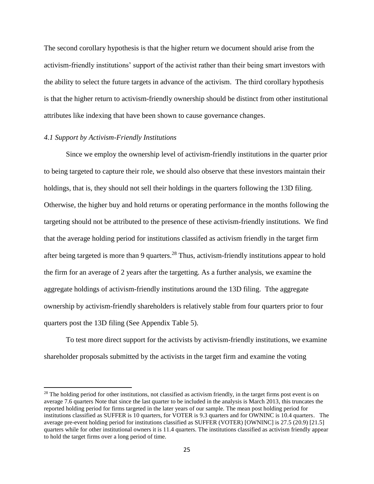The second corollary hypothesis is that the higher return we document should arise from the activism-friendly institutions' support of the activist rather than their being smart investors with the ability to select the future targets in advance of the activism. The third corollary hypothesis is that the higher return to activism-friendly ownership should be distinct from other institutional attributes like indexing that have been shown to cause governance changes.

### *4.1 Support by Activism-Friendly Institutions*

 $\overline{\phantom{a}}$ 

Since we employ the ownership level of activism-friendly institutions in the quarter prior to being targeted to capture their role, we should also observe that these investors maintain their holdings, that is, they should not sell their holdings in the quarters following the 13D filing. Otherwise, the higher buy and hold returns or operating performance in the months following the targeting should not be attributed to the presence of these activism-friendly institutions. We find that the average holding period for institutions classifed as activism friendly in the target firm after being targeted is more than 9 quarters.<sup>28</sup> Thus, activism-friendly institutions appear to hold the firm for an average of 2 years after the targetting. As a further analysis, we examine the aggregate holdings of activism-friendly institutions around the 13D filing. Tthe aggregate ownership by activism-friendly shareholders is relatively stable from four quarters prior to four quarters post the 13D filing (See Appendix Table 5).

To test more direct support for the activists by activism-friendly institutions, we examine shareholder proposals submitted by the activists in the target firm and examine the voting

 $2<sup>8</sup>$  The holding period for other institutions, not classified as activism friendly, in the target firms post event is on average 7.6 quarters Note that since the last quarter to be included in the analysis is March 2013, this truncates the reported holding period for firms targeted in the later years of our sample. The mean post holding period for institutions classified as SUFFER is 10 quarters, for VOTER is 9.3 quarters and for OWNINC is 10.4 quarters. The average pre-event holding period for institutions classified as SUFFER (VOTER) [OWNINC] is 27.5 (20.9) [21.5] quarters while for other institutional owners it is 11.4 quarters. The institutions classified as activism friendly appear to hold the target firms over a long period of time.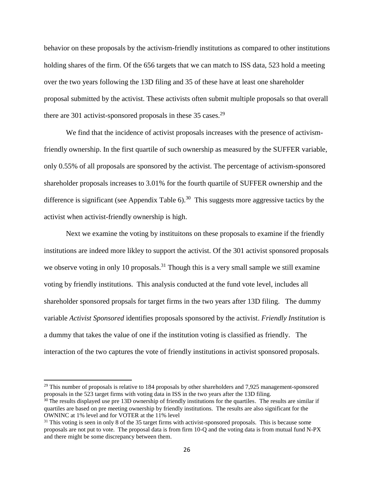behavior on these proposals by the activism-friendly institutions as compared to other institutions holding shares of the firm. Of the 656 targets that we can match to ISS data, 523 hold a meeting over the two years following the 13D filing and 35 of these have at least one shareholder proposal submitted by the activist. These activists often submit multiple proposals so that overall there are 301 activist-sponsored proposals in these  $35 \text{ cases}$ <sup>29</sup>

We find that the incidence of activist proposals increases with the presence of activismfriendly ownership. In the first quartile of such ownership as measured by the SUFFER variable, only 0.55% of all proposals are sponsored by the activist. The percentage of activism-sponsored shareholder proposals increases to 3.01% for the fourth quartile of SUFFER ownership and the difference is significant (see Appendix Table  $6$ ).<sup>30</sup> This suggests more aggressive tactics by the activist when activist-friendly ownership is high.

Next we examine the voting by instituitons on these proposals to examine if the friendly institutions are indeed more likley to support the activist. Of the 301 activist sponsored proposals we observe voting in only 10 proposals.<sup>31</sup> Though this is a very small sample we still examine voting by friendly institutions. This analysis conducted at the fund vote level, includes all shareholder sponsored propsals for target firms in the two years after 13D filing. The dummy variable *Activist Sponsored* identifies proposals sponsored by the activist. *Friendly Institution* is a dummy that takes the value of one if the institution voting is classified as friendly. The interaction of the two captures the vote of friendly institutions in activist sponsored proposals.

l

<sup>&</sup>lt;sup>29</sup> This number of proposals is relative to 184 proposals by other shareholders and 7,925 management-sponsored proposals in the 523 target firms with voting data in ISS in the two years after the 13D filing.

 $30$  The results displayed use pre 13D ownership of friendly institutions for the quartiles. The results are similar if quartiles are based on pre meeting ownership by friendly institutions. The results are also significant for the OWNINC at 1% level and for VOTER at the 11% level

 $31$  This voting is seen in only 8 of the 35 target firms with activist-sponsored proposals. This is because some proposals are not put to vote. The proposal data is from firm 10-Q and the voting data is from mutual fund N-PX and there might be some discrepancy between them.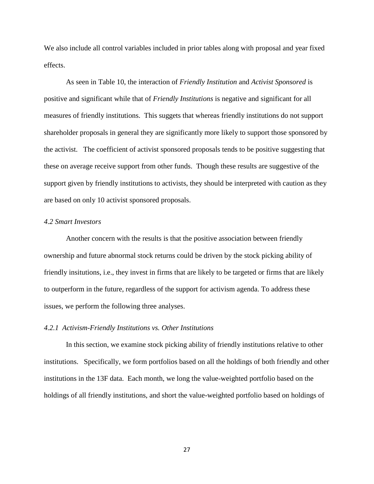We also include all control variables included in prior tables along with proposal and year fixed effects.

As seen in Table 10, the interaction of *Friendly Institution* and *Activist Sponsored* is positive and significant while that of *Friendly Institutions* is negative and significant for all measures of friendly institutions. This suggets that whereas friendly institutions do not support shareholder proposals in general they are significantly more likely to support those sponsored by the activist. The coefficient of activist sponsored proposals tends to be positive suggesting that these on average receive support from other funds. Though these results are suggestive of the support given by friendly institutions to activists, they should be interpreted with caution as they are based on only 10 activist sponsored proposals.

### *4.2 Smart Investors*

Another concern with the results is that the positive association between friendly ownership and future abnormal stock returns could be driven by the stock picking ability of friendly insitutions, i.e., they invest in firms that are likely to be targeted or firms that are likely to outperform in the future, regardless of the support for activism agenda. To address these issues, we perform the following three analyses.

#### *4.2.1 Activism-Friendly Institutions vs. Other Institutions*

In this section, we examine stock picking ability of friendly institutions relative to other institutions. Specifically, we form portfolios based on all the holdings of both friendly and other institutions in the 13F data. Each month, we long the value-weighted portfolio based on the holdings of all friendly institutions, and short the value-weighted portfolio based on holdings of

27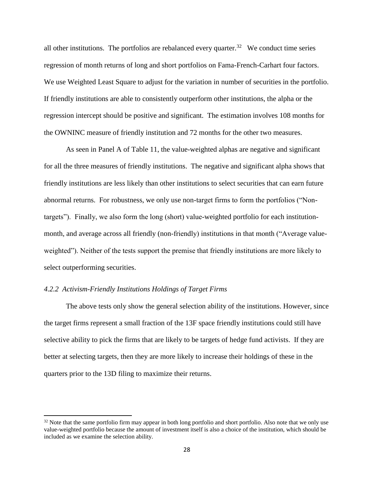all other institutions. The portfolios are rebalanced every quarter.<sup>32</sup> We conduct time series regression of month returns of long and short portfolios on Fama-French-Carhart four factors. We use Weighted Least Square to adjust for the variation in number of securities in the portfolio. If friendly institutions are able to consistently outperform other institutions, the alpha or the regression intercept should be positive and significant. The estimation involves 108 months for the OWNINC measure of friendly institution and 72 months for the other two measures.

As seen in Panel A of Table 11, the value-weighted alphas are negative and significant for all the three measures of friendly institutions. The negative and significant alpha shows that friendly institutions are less likely than other institutions to select securities that can earn future abnormal returns. For robustness, we only use non-target firms to form the portfolios ("Nontargets"). Finally, we also form the long (short) value-weighted portfolio for each institutionmonth, and average across all friendly (non-friendly) institutions in that month ("Average valueweighted"). Neither of the tests support the premise that friendly institutions are more likely to select outperforming securities.

### *4.2.2 Activism-Friendly Institutions Holdings of Target Firms*

 $\overline{\phantom{a}}$ 

The above tests only show the general selection ability of the institutions. However, since the target firms represent a small fraction of the 13F space friendly institutions could still have selective ability to pick the firms that are likely to be targets of hedge fund activists. If they are better at selecting targets, then they are more likely to increase their holdings of these in the quarters prior to the 13D filing to maximize their returns.

 $32$  Note that the same portfolio firm may appear in both long portfolio and short portfolio. Also note that we only use value-weighted portfolio because the amount of investment itself is also a choice of the institution, which should be included as we examine the selection ability.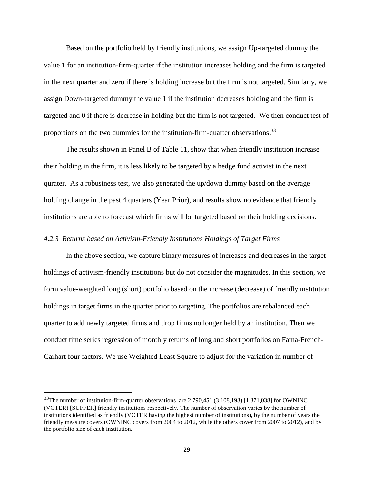Based on the portfolio held by friendly institutions, we assign Up-targeted dummy the value 1 for an institution-firm-quarter if the institution increases holding and the firm is targeted in the next quarter and zero if there is holding increase but the firm is not targeted. Similarly, we assign Down-targeted dummy the value 1 if the institution decreases holding and the firm is targeted and 0 if there is decrease in holding but the firm is not targeted. We then conduct test of proportions on the two dummies for the institution-firm-quarter observations.<sup>33</sup>

The results shown in Panel B of Table 11, show that when friendly institution increase their holding in the firm, it is less likely to be targeted by a hedge fund activist in the next qurater. As a robustness test, we also generated the up/down dummy based on the average holding change in the past 4 quarters (Year Prior), and results show no evidence that friendly institutions are able to forecast which firms will be targeted based on their holding decisions.

### *4.2.3 Returns based on Activism-Friendly Institutions Holdings of Target Firms*

In the above section, we capture binary measures of increases and decreases in the target holdings of activism-friendly institutions but do not consider the magnitudes. In this section, we form value-weighted long (short) portfolio based on the increase (decrease) of friendly institution holdings in target firms in the quarter prior to targeting. The portfolios are rebalanced each quarter to add newly targeted firms and drop firms no longer held by an institution. Then we conduct time series regression of monthly returns of long and short portfolios on Fama-French-Carhart four factors. We use Weighted Least Square to adjust for the variation in number of

l

<sup>33</sup>The number of institution-firm-quarter observations are 2,790,451 (3,108,193) [1,871,038] for OWNINC (VOTER) [SUFFER] friendly institutions respectively. The number of observation varies by the number of institutions identified as friendly (VOTER having the highest number of institutions), by the number of years the friendly measure covers (OWNINC covers from 2004 to 2012, while the others cover from 2007 to 2012), and by the portfolio size of each institution.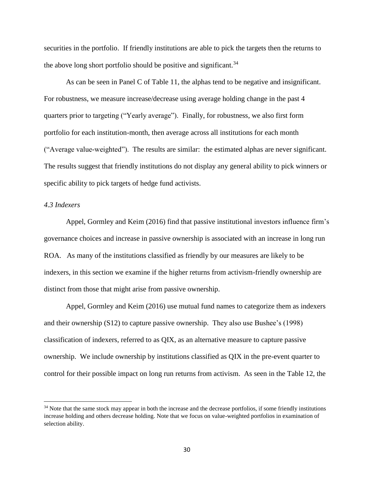securities in the portfolio. If friendly institutions are able to pick the targets then the returns to the above long short portfolio should be positive and significant.<sup>34</sup>

As can be seen in Panel C of Table 11, the alphas tend to be negative and insignificant. For robustness, we measure increase/decrease using average holding change in the past 4 quarters prior to targeting ("Yearly average"). Finally, for robustness, we also first form portfolio for each institution-month, then average across all institutions for each month ("Average value-weighted"). The results are similar: the estimated alphas are never significant. The results suggest that friendly institutions do not display any general ability to pick winners or specific ability to pick targets of hedge fund activists.

### *4.3 Indexers*

 $\overline{a}$ 

Appel, Gormley and Keim (2016) find that passive institutional investors influence firm's governance choices and increase in passive ownership is associated with an increase in long run ROA. As many of the institutions classified as friendly by our measures are likely to be indexers, in this section we examine if the higher returns from activism-friendly ownership are distinct from those that might arise from passive ownership.

Appel, Gormley and Keim (2016) use mutual fund names to categorize them as indexers and their ownership (S12) to capture passive ownership. They also use Bushee's (1998) classification of indexers, referred to as QIX, as an alternative measure to capture passive ownership. We include ownership by institutions classified as QIX in the pre-event quarter to control for their possible impact on long run returns from activism. As seen in the Table 12, the

<sup>&</sup>lt;sup>34</sup> Note that the same stock may appear in both the increase and the decrease portfolios, if some friendly institutions increase holding and others decrease holding. Note that we focus on value-weighted portfolios in examination of selection ability.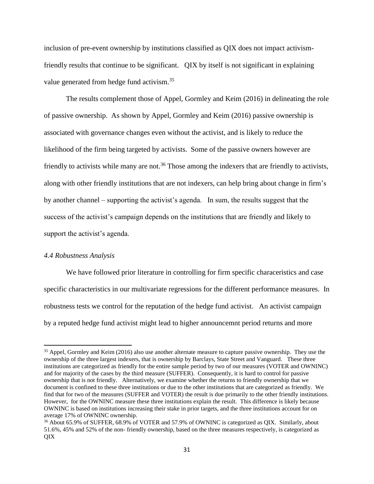inclusion of pre-event ownership by institutions classified as QIX does not impact activismfriendly results that continue to be significant. QIX by itself is not significant in explaining value generated from hedge fund activism.<sup>35</sup>

The results complement those of Appel, Gormley and Keim (2016) in delineating the role of passive ownership. As shown by Appel, Gormley and Keim (2016) passive ownership is associated with governance changes even without the activist, and is likely to reduce the likelihood of the firm being targeted by activists. Some of the passive owners however are friendly to activists while many are not.<sup>36</sup> Those among the indexers that are friendly to activists, along with other friendly institutions that are not indexers, can help bring about change in firm's by another channel – supporting the activist's agenda. In sum, the results suggest that the success of the activist's campaign depends on the institutions that are friendly and likely to support the activist's agenda.

### *4.4 Robustness Analysis*

 $\overline{\phantom{a}}$ 

We have followed prior literature in controlling for firm specific characeristics and case specific characteristics in our multivariate regressions for the different performance measures. In robustness tests we control for the reputation of the hedge fund activist. An activist campaign by a reputed hedge fund activist might lead to higher announcemnt period returns and more

<sup>&</sup>lt;sup>35</sup> Appel, Gormley and Keim (2016) also use another alternate measure to capture passive ownership. They use the ownership of the three largest indexers, that is ownership by Barclays, State Street and Vanguard. These three institutions are categorized as friendly for the entire sample period by two of our measures (VOTER and OWNINC) and for majority of the cases by the third measure (SUFFER). Consequently, it is hard to control for passive ownership that is not friendly. Alternatively, we examine whether the returns to friendly ownership that we document is confined to these three institutions or due to the other institutions that are categorized as friendly. We find that for two of the measures (SUFFER and VOTER) the result is due primarily to the other friendly institutions. However, for the OWNINC measure these three institutions explain the result. This difference is likely because OWNINC is based on institutions increasing their stake in prior targets, and the three institutions account for on average 17% of OWNINC ownership.

<sup>&</sup>lt;sup>36</sup> About 65.9% of SUFFER, 68.9% of VOTER and 57.9% of OWNINC is categorized as QIX. Similarly, about 51.6%, 45% and 52% of the non- friendly ownership, based on the three measures respectively, is categorized as QIX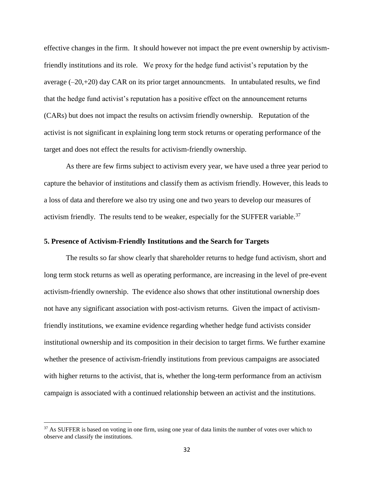effective changes in the firm. It should however not impact the pre event ownership by activismfriendly institutions and its role. We proxy for the hedge fund activist's reputation by the average  $(-20,+20)$  day CAR on its prior target announcments. In untabulated results, we find that the hedge fund activist's reputation has a positive effect on the announcement returns (CARs) but does not impact the results on activsim friendly ownership. Reputation of the activist is not significant in explaining long term stock returns or operating performance of the target and does not effect the results for activism-friendly ownership.

As there are few firms subject to activism every year, we have used a three year period to capture the behavior of institutions and classify them as activism friendly. However, this leads to a loss of data and therefore we also try using one and two years to develop our measures of activism friendly. The results tend to be weaker, especially for the SUFFER variable.<sup>37</sup>

### **5. Presence of Activism-Friendly Institutions and the Search for Targets**

The results so far show clearly that shareholder returns to hedge fund activism, short and long term stock returns as well as operating performance, are increasing in the level of pre-event activism-friendly ownership. The evidence also shows that other institutional ownership does not have any significant association with post-activism returns. Given the impact of activismfriendly institutions, we examine evidence regarding whether hedge fund activists consider institutional ownership and its composition in their decision to target firms. We further examine whether the presence of activism-friendly institutions from previous campaigns are associated with higher returns to the activist, that is, whether the long-term performance from an activism campaign is associated with a continued relationship between an activist and the institutions.

<sup>&</sup>lt;sup>37</sup> As SUFFER is based on voting in one firm, using one year of data limits the number of votes over which to observe and classify the institutions.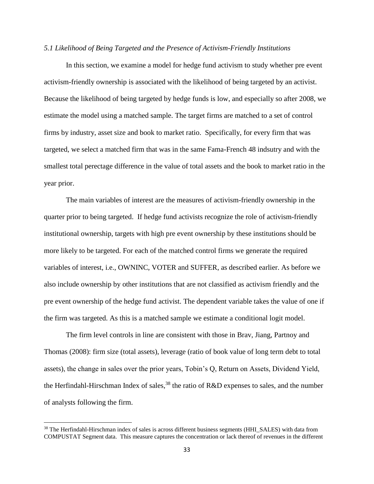### *5.1 Likelihood of Being Targeted and the Presence of Activism-Friendly Institutions*

In this section, we examine a model for hedge fund activism to study whether pre event activism-friendly ownership is associated with the likelihood of being targeted by an activist. Because the likelihood of being targeted by hedge funds is low, and especially so after 2008, we estimate the model using a matched sample. The target firms are matched to a set of control firms by industry, asset size and book to market ratio. Specifically, for every firm that was targeted, we select a matched firm that was in the same Fama-French 48 indsutry and with the smallest total perectage difference in the value of total assets and the book to market ratio in the year prior.

The main variables of interest are the measures of activism-friendly ownership in the quarter prior to being targeted. If hedge fund activists recognize the role of activism-friendly institutional ownership, targets with high pre event ownership by these institutions should be more likely to be targeted. For each of the matched control firms we generate the required variables of interest, i.e., OWNINC, VOTER and SUFFER, as described earlier. As before we also include ownership by other institutions that are not classified as activism friendly and the pre event ownership of the hedge fund activist. The dependent variable takes the value of one if the firm was targeted. As this is a matched sample we estimate a conditional logit model.

The firm level controls in line are consistent with those in Brav, Jiang, Partnoy and Thomas (2008): firm size (total assets), leverage (ratio of book value of long term debt to total assets), the change in sales over the prior years, Tobin's Q, Return on Assets, Dividend Yield, the Herfindahl-Hirschman Index of sales,<sup>38</sup> the ratio of R&D expenses to sales, and the number of analysts following the firm.

<sup>&</sup>lt;sup>38</sup> The Herfindahl-Hirschman index of sales is across different business segments (HHI\_SALES) with data from COMPUSTAT Segment data. This measure captures the concentration or lack thereof of revenues in the different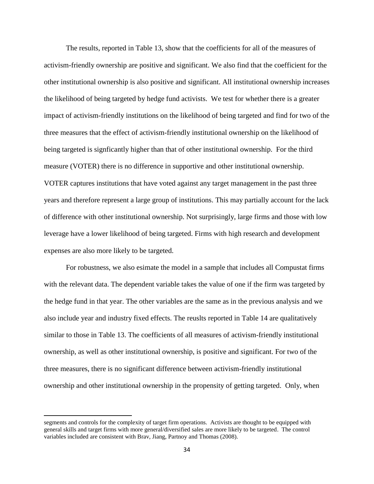The results, reported in Table 13, show that the coefficients for all of the measures of activism-friendly ownership are positive and significant. We also find that the coefficient for the other institutional ownership is also positive and significant. All institutional ownership increases the likelihood of being targeted by hedge fund activists. We test for whether there is a greater impact of activism-friendly institutions on the likelihood of being targeted and find for two of the three measures that the effect of activism-friendly institutional ownership on the likelihood of being targeted is signficantly higher than that of other institutional ownership. For the third measure (VOTER) there is no difference in supportive and other institutional ownership. VOTER captures institutions that have voted against any target management in the past three years and therefore represent a large group of institutions. This may partially account for the lack of difference with other institutional ownership. Not surprisingly, large firms and those with low leverage have a lower likelihood of being targeted. Firms with high research and development expenses are also more likely to be targeted.

For robustness, we also esimate the model in a sample that includes all Compustat firms with the relevant data. The dependent variable takes the value of one if the firm was targeted by the hedge fund in that year. The other variables are the same as in the previous analysis and we also include year and industry fixed effects. The reuslts reported in Table 14 are qualitatively similar to those in Table 13. The coefficients of all measures of activism-friendly institutional ownership, as well as other institutional ownership, is positive and significant. For two of the three measures, there is no significant difference between activism-friendly institutional ownership and other institutional ownership in the propensity of getting targeted. Only, when

segments and controls for the complexity of target firm operations. Activists are thought to be equipped with general skills and target firms with more general/diversified sales are more likely to be targeted. The control variables included are consistent with Brav, Jiang, Partnoy and Thomas (2008).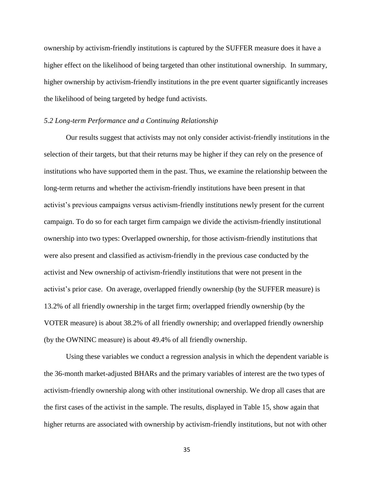ownership by activism-friendly institutions is captured by the SUFFER measure does it have a higher effect on the likelihood of being targeted than other institutional ownership. In summary, higher ownership by activism-friendly institutions in the pre event quarter significantly increases the likelihood of being targeted by hedge fund activists.

#### *5.2 Long-term Performance and a Continuing Relationship*

Our results suggest that activists may not only consider activist-friendly institutions in the selection of their targets, but that their returns may be higher if they can rely on the presence of institutions who have supported them in the past. Thus, we examine the relationship between the long-term returns and whether the activism-friendly institutions have been present in that activist's previous campaigns versus activism-friendly institutions newly present for the current campaign. To do so for each target firm campaign we divide the activism-friendly institutional ownership into two types: Overlapped ownership, for those activism-friendly institutions that were also present and classified as activism-friendly in the previous case conducted by the activist and New ownership of activism-friendly institutions that were not present in the activist's prior case. On average, overlapped friendly ownership (by the SUFFER measure) is 13.2% of all friendly ownership in the target firm; overlapped friendly ownership (by the VOTER measure) is about 38.2% of all friendly ownership; and overlapped friendly ownership (by the OWNINC measure) is about 49.4% of all friendly ownership.

Using these variables we conduct a regression analysis in which the dependent variable is the 36-month market-adjusted BHARs and the primary variables of interest are the two types of activism-friendly ownership along with other institutional ownership. We drop all cases that are the first cases of the activist in the sample. The results, displayed in Table 15, show again that higher returns are associated with ownership by activism-friendly institutions, but not with other

35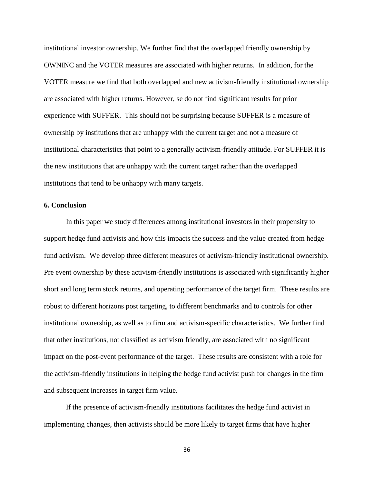institutional investor ownership. We further find that the overlapped friendly ownership by OWNINC and the VOTER measures are associated with higher returns. In addition, for the VOTER measure we find that both overlapped and new activism-friendly institutional ownership are associated with higher returns. However, se do not find significant results for prior experience with SUFFER. This should not be surprising because SUFFER is a measure of ownership by institutions that are unhappy with the current target and not a measure of institutional characteristics that point to a generally activism-friendly attitude. For SUFFER it is the new institutions that are unhappy with the current target rather than the overlapped institutions that tend to be unhappy with many targets.

### **6. Conclusion**

In this paper we study differences among institutional investors in their propensity to support hedge fund activists and how this impacts the success and the value created from hedge fund activism. We develop three different measures of activism-friendly institutional ownership. Pre event ownership by these activism-friendly institutions is associated with significantly higher short and long term stock returns, and operating performance of the target firm. These results are robust to different horizons post targeting, to different benchmarks and to controls for other institutional ownership, as well as to firm and activism-specific characteristics. We further find that other institutions, not classified as activism friendly, are associated with no significant impact on the post-event performance of the target. These results are consistent with a role for the activism-friendly institutions in helping the hedge fund activist push for changes in the firm and subsequent increases in target firm value.

If the presence of activism-friendly institutions facilitates the hedge fund activist in implementing changes, then activists should be more likely to target firms that have higher

36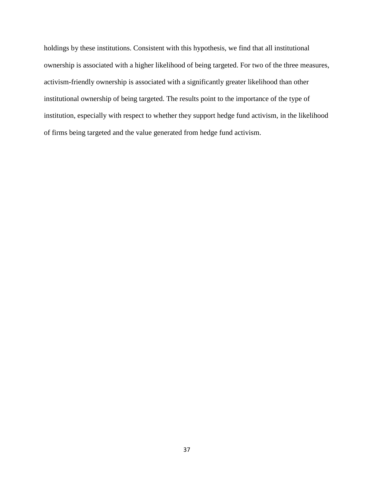holdings by these institutions. Consistent with this hypothesis, we find that all institutional ownership is associated with a higher likelihood of being targeted. For two of the three measures, activism-friendly ownership is associated with a significantly greater likelihood than other institutional ownership of being targeted. The results point to the importance of the type of institution, especially with respect to whether they support hedge fund activism, in the likelihood of firms being targeted and the value generated from hedge fund activism.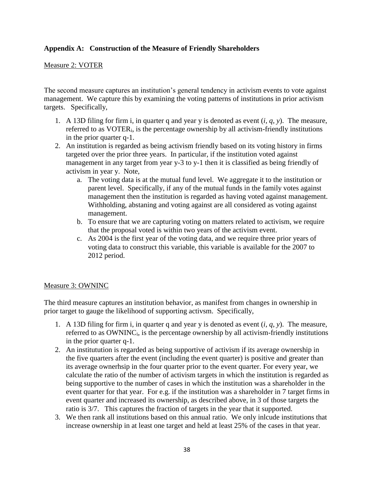## **Appendix A: Construction of the Measure of Friendly Shareholders**

### Measure 2: VOTER

The second measure captures an institution's general tendency in activism events to vote against management. We capture this by examining the voting patterns of institutions in prior activism targets. Specifically,

- 1. A 13D filing for firm i, in quarter q and year y is denoted as event (*i, q*, *y*). The measure, referred to as VOTERi, is the percentage ownership by all activism-friendly institutions in the prior quarter q-1.
- 2. An institution is regarded as being activism friendly based on its voting history in firms targeted over the prior three years. In particular, if the institution voted against management in any target from year y-3 to y-1 then it is classified as being friendly of activism in year y. Note,
	- a. The voting data is at the mutual fund level. We aggregate it to the institution or parent level. Specifically, if any of the mutual funds in the family votes against management then the institution is regarded as having voted against management. Withholding, abstaning and voting against are all considered as voting against management.
	- b. To ensure that we are capturing voting on matters related to activism, we require that the proposal voted is within two years of the activism event.
	- c. As 2004 is the first year of the voting data, and we require three prior years of voting data to construct this variable, this variable is available for the 2007 to 2012 period.

### Measure 3: OWNINC

The third measure captures an institution behavior, as manifest from changes in ownership in prior target to gauge the likelihood of supporting activsm. Specifically,

- 1. A 13D filing for firm i, in quarter q and year y is denoted as event (*i, q*, *y*). The measure, referred to as OWNINC<sub>i</sub>, is the percentage ownership by all activism-friendly institutions in the prior quarter q-1.
- 2. An institutution is regarded as being supportive of activism if its average ownership in the five quarters after the event (including the event quarter) is positive and greater than its average ownerhsip in the four quarter prior to the event quarter. For every year, we calculate the ratio of the number of activism targets in which the institution is regarded as being supportive to the number of cases in which the institution was a shareholder in the event quarter for that year. For e.g. if the institution was a shareholder in 7 target firms in event quarter and increased its ownership, as described above, in 3 of those targets the ratio is 3/7. This captures the fraction of targets in the year that it supported.
- 3. We then rank all institutions based on this annual ratio. We only inlcude institutions that increase ownership in at least one target and held at least 25% of the cases in that year.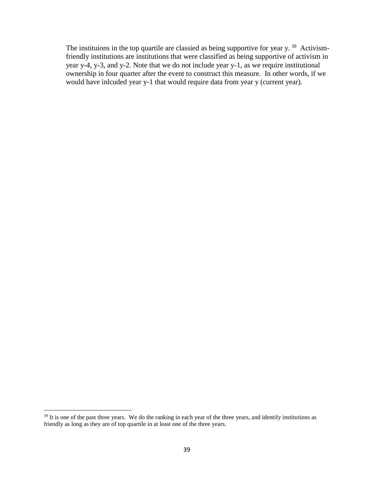The instituions in the top quartile are classied as being supportive for year y.<sup>39</sup> Activismfriendly institutions are institutions that were classified as being supportive of activism in year y-4, y-3, and y-2. Note that we do not include year y-1, as we require institutional ownership in four quarter after the event to construct this measure. In other words, if we would have inlcuded year y-1 that would require data from year y (current year).

 $\overline{a}$ 

<sup>&</sup>lt;sup>39</sup> It is one of the past three years. We do the ranking in each year of the three years, and identify institutions as friendly as long as they are of top quartile in at least one of the three years.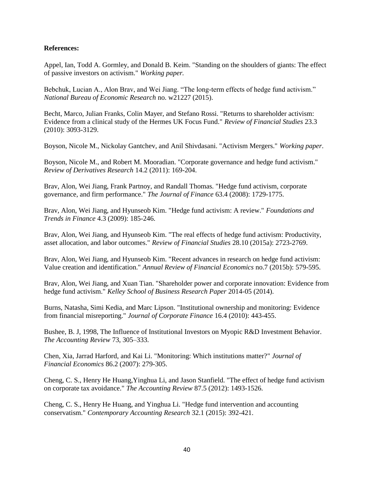### **References:**

Appel, Ian, Todd A. Gormley, and Donald B. Keim. "Standing on the shoulders of giants: The effect of passive investors on activism." *Working paper.*

Bebchuk, Lucian A., Alon Brav, and Wei Jiang. "The long-term effects of hedge fund activism." *National Bureau of Economic Research* no. w21227 (2015).

Becht, Marco, Julian Franks, Colin Mayer, and Stefano Rossi. "Returns to shareholder activism: Evidence from a clinical study of the Hermes UK Focus Fund." *Review of Financial Studies* 23.3 (2010): 3093-3129.

Boyson, Nicole M., Nickolay Gantchev, and Anil Shivdasani. "Activism Mergers." *Working paper*.

Boyson, Nicole M., and Robert M. Mooradian. "Corporate governance and hedge fund activism." *Review of Derivatives Research* 14.2 (2011): 169-204.

Brav, Alon, Wei Jiang, Frank Partnoy, and Randall Thomas. "Hedge fund activism, corporate governance, and firm performance." *The Journal of Finance* 63.4 (2008): 1729-1775.

Brav, Alon, Wei Jiang, and Hyunseob Kim. "Hedge fund activism: A review." *Foundations and Trends in Finance* 4.3 (2009): 185-246.

Brav, Alon, Wei Jiang, and Hyunseob Kim. "The real effects of hedge fund activism: Productivity, asset allocation, and labor outcomes." *Review of Financial Studies* 28.10 (2015a): 2723-2769.

Brav, Alon, Wei Jiang, and Hyunseob Kim. "Recent advances in research on hedge fund activism: Value creation and identification." *Annual Review of Financial Economics* no.7 (2015b): 579-595.

Brav, Alon, Wei Jiang, and Xuan Tian. "Shareholder power and corporate innovation: Evidence from hedge fund activism." *Kelley School of Business Research Paper* 2014-05 (2014).

Burns, Natasha, Simi Kedia, and Marc Lipson. "Institutional ownership and monitoring: Evidence from financial misreporting." *Journal of Corporate Finance* 16.4 (2010): 443-455.

Bushee, B. J, 1998, The Influence of Institutional Investors on Myopic R&D Investment Behavior. *The Accounting Review* 73, 305–333.

Chen, Xia, Jarrad Harford, and Kai Li. "Monitoring: Which institutions matter?" *Journal of Financial Economics* 86.2 (2007): 279-305.

Cheng, C. S., Henry He Huang,Yinghua Li, and Jason Stanfield. "The effect of hedge fund activism on corporate tax avoidance." *The Accounting Review* 87.5 (2012): 1493-1526.

Cheng, C. S., Henry He Huang, and Yinghua Li. "Hedge fund intervention and accounting conservatism." *Contemporary Accounting Research* 32.1 (2015): 392-421.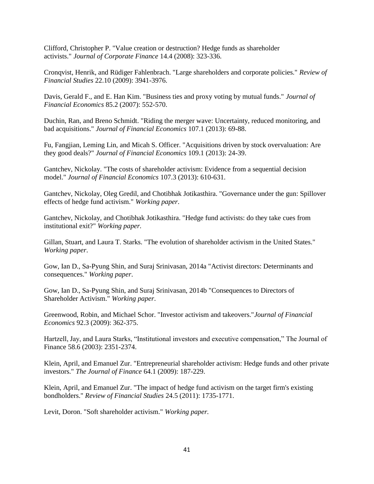Clifford, Christopher P. "Value creation or destruction? Hedge funds as shareholder activists." *Journal of Corporate Finance* 14.4 (2008): 323-336.

Cronqvist, Henrik, and Rüdiger Fahlenbrach. "Large shareholders and corporate policies." *Review of Financial Studies* 22.10 (2009): 3941-3976.

Davis, Gerald F., and E. Han Kim. "Business ties and proxy voting by mutual funds." *Journal of Financial Economics* 85.2 (2007): 552-570.

Duchin, Ran, and Breno Schmidt. "Riding the merger wave: Uncertainty, reduced monitoring, and bad acquisitions." *Journal of Financial Economics* 107.1 (2013): 69-88.

Fu, Fangjian, Leming Lin, and Micah S. Officer. "Acquisitions driven by stock overvaluation: Are they good deals?" *Journal of Financial Economics* 109.1 (2013): 24-39.

Gantchev, Nickolay. "The costs of shareholder activism: Evidence from a sequential decision model." *Journal of Financial Economics* 107.3 (2013): 610-631.

Gantchev, Nickolay, Oleg Gredil, and Chotibhak Jotikasthira. "Governance under the gun: Spillover effects of hedge fund activism." *Working paper*.

Gantchev, Nickolay, and Chotibhak Jotikasthira. "Hedge fund activists: do they take cues from institutional exit?" *Working paper.*

Gillan, Stuart, and Laura T. Starks. "The evolution of shareholder activism in the United States." *Working paper*.

Gow, Ian D., Sa-Pyung Shin, and Suraj Srinivasan, 2014a "Activist directors: Determinants and consequences." *Working paper*.

Gow, Ian D., Sa-Pyung Shin, and Suraj Srinivasan, 2014b "Consequences to Directors of Shareholder Activism." *Working paper*.

Greenwood, Robin, and Michael Schor. "Investor activism and takeovers."*Journal of Financial Economics* 92.3 (2009): 362-375.

Hartzell, Jay, and Laura Starks, "Institutional investors and executive compensation," The Journal of Finance 58.6 (2003): 2351-2374.

Klein, April, and Emanuel Zur. "Entrepreneurial shareholder activism: Hedge funds and other private investors." *The Journal of Finance* 64.1 (2009): 187-229.

Klein, April, and Emanuel Zur. "The impact of hedge fund activism on the target firm's existing bondholders." *Review of Financial Studies* 24.5 (2011): 1735-1771.

Levit, Doron. "Soft shareholder activism." *Working paper.*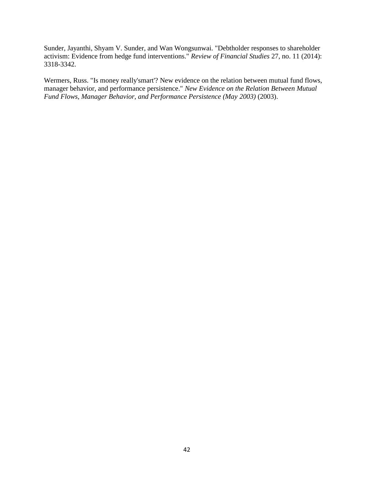Sunder, Jayanthi, Shyam V. Sunder, and Wan Wongsunwai. "Debtholder responses to shareholder activism: Evidence from hedge fund interventions." *Review of Financial Studies* 27, no. 11 (2014): 3318-3342.

Wermers, Russ. "Is money really'smart'? New evidence on the relation between mutual fund flows, manager behavior, and performance persistence." *New Evidence on the Relation Between Mutual Fund Flows, Manager Behavior, and Performance Persistence (May 2003)* (2003).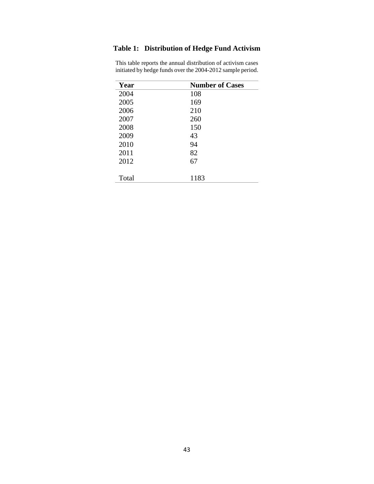# **Table 1: Distribution of Hedge Fund Activism**

| Year  | <b>Number of Cases</b> |
|-------|------------------------|
| 2004  | 108                    |
| 2005  | 169                    |
| 2006  | 210                    |
| 2007  | 260                    |
| 2008  | 150                    |
| 2009  | 43                     |
| 2010  | 94                     |
| 2011  | 82                     |
| 2012  | 67                     |
|       |                        |
| Total | 1183                   |

This table reports the annual distribution of activism cases initiated by hedge funds over the 2004-2012 sample period.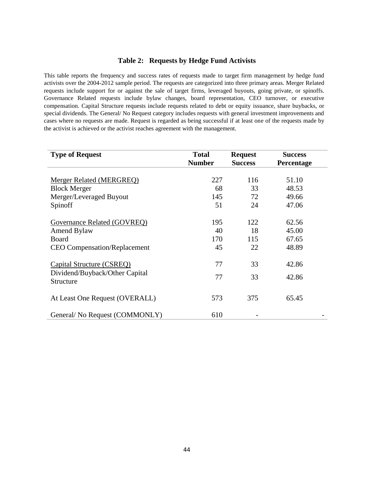#### **Table 2: Requests by Hedge Fund Activists**

This table reports the frequency and success rates of requests made to target firm management by hedge fund activists over the 2004-2012 sample period. The requests are categorized into three primary areas. Merger Related requests include support for or against the sale of target firms, leveraged buyouts, going private, or spinoffs. Governance Related requests include bylaw changes, board representation, CEO turnover, or executive compensation. Capital Structure requests include requests related to debt or equity issuance, share buybacks, or special dividends. The General/ No Request category includes requests with general investment improvements and cases where no requests are made. Request is regarded as being successful if at least one of the requests made by the activist is achieved or the activist reaches agreement with the management.

| <b>Type of Request</b>                      | <b>Total</b>  | <b>Request</b> | <b>Success</b> |
|---------------------------------------------|---------------|----------------|----------------|
|                                             | <b>Number</b> | <b>Success</b> | Percentage     |
|                                             |               |                |                |
| Merger Related (MERGREQ)                    | 227           | 116            | 51.10          |
| <b>Block Merger</b>                         | 68            | 33             | 48.53          |
| Merger/Leveraged Buyout                     | 145           | 72             | 49.66          |
| Spinoff                                     | 51            | 24             | 47.06          |
| Governance Related (GOVREQ)                 | 195           | 122            | 62.56          |
| Amend Bylaw                                 | 40            | 18             | 45.00          |
| <b>Board</b>                                | 170           | 115            | 67.65          |
| <b>CEO Compensation/Replacement</b>         | 45            | 22             | 48.89          |
| Capital Structure (CSREQ)                   | 77            | 33             | 42.86          |
| Dividend/Buyback/Other Capital<br>Structure | 77            | 33             | 42.86          |
| At Least One Request (OVERALL)              | 573           | 375            | 65.45          |
| General/No Request (COMMONLY)               | 610           |                |                |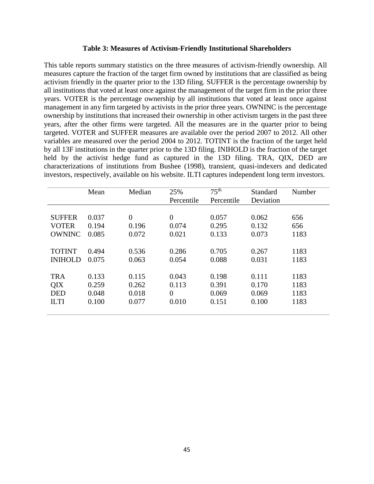#### **Table 3: Measures of Activism-Friendly Institutional Shareholders**

This table reports summary statistics on the three measures of activism-friendly ownership. All measures capture the fraction of the target firm owned by institutions that are classified as being activism friendly in the quarter prior to the 13D filing. SUFFER is the percentage ownership by all institutions that voted at least once against the management of the target firm in the prior three years. VOTER is the percentage ownership by all institutions that voted at least once against management in any firm targeted by activists in the prior three years. OWNINC is the percentage ownership by institutions that increased their ownership in other activism targets in the past three years, after the other firms were targeted. All the measures are in the quarter prior to being targeted. VOTER and SUFFER measures are available over the period 2007 to 2012. All other variables are measured over the period 2004 to 2012. TOTINT is the fraction of the target held by all 13F institutions in the quarter prior to the 13D filing. INIHOLD is the fraction of the target held by the activist hedge fund as captured in the 13D filing. TRA, QIX, DED are characterizations of institutions from Bushee (1998), transient, quasi-indexers and dedicated investors, respectively, available on his website. ILTI captures independent long term investors.

|                | Mean  | Median         | 25%            | 75 <sup>th</sup> | Standard  | Number |
|----------------|-------|----------------|----------------|------------------|-----------|--------|
|                |       |                | Percentile     | Percentile       | Deviation |        |
|                |       |                |                |                  |           |        |
| <b>SUFFER</b>  | 0.037 | $\overline{0}$ | $\overline{0}$ | 0.057            | 0.062     | 656    |
| <b>VOTER</b>   | 0.194 | 0.196          | 0.074          | 0.295            | 0.132     | 656    |
| <b>OWNINC</b>  | 0.085 | 0.072          | 0.021          | 0.133            | 0.073     | 1183   |
|                |       |                |                |                  |           |        |
| <b>TOTINT</b>  | 0.494 | 0.536          | 0.286          | 0.705            | 0.267     | 1183   |
| <b>INIHOLD</b> | 0.075 | 0.063          | 0.054          | 0.088            | 0.031     | 1183   |
|                |       |                |                |                  |           |        |
| <b>TRA</b>     | 0.133 | 0.115          | 0.043          | 0.198            | 0.111     | 1183   |
| QIX            | 0.259 | 0.262          | 0.113          | 0.391            | 0.170     | 1183   |
| <b>DED</b>     | 0.048 | 0.018          | $\overline{0}$ | 0.069            | 0.069     | 1183   |
| <b>ILTI</b>    | 0.100 | 0.077          | 0.010          | 0.151            | 0.100     | 1183   |
|                |       |                |                |                  |           |        |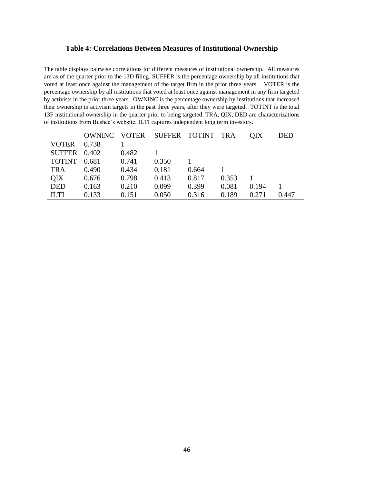### **Table 4: Correlations Between Measures of Institutional Ownership**

The table displays pairwise correlations for different measures of institutional ownership. All measures are as of the quarter prior to the 13D filing. SUFFER is the percentage ownership by all institutions that voted at least once against the management of the target firm in the prior three years. VOTER is the percentage ownership by all institutions that voted at least once against management in any firm targeted by activists in the prior three years. OWNINC is the percentage ownership by institutions that increased their ownership in activism targets in the past three years, after they were targeted. TOTINT is the total 13F institutional ownership in the quarter prior to being targeted. TRA, QIX, DED are characterizations of institutions from Bushee's website. ILTI captures independent long term investors.

| <b>OWNINC</b> | <b>VOTER</b> |       |       | TRA   | OIX           | DED   |
|---------------|--------------|-------|-------|-------|---------------|-------|
| 0.738         |              |       |       |       |               |       |
| 0.402         | 0.482        |       |       |       |               |       |
| 0.681         | 0.741        | 0.350 |       |       |               |       |
| 0.490         | 0.434        | 0.181 | 0.664 |       |               |       |
| 0.676         | 0.798        | 0.413 | 0.817 | 0.353 |               |       |
| 0.163         | 0.210        | 0.099 | 0.399 | 0.081 | 0.194         |       |
| 0.133         | 0.151        | 0.050 | 0.316 | 0.189 | 0.271         | 0.447 |
|               |              |       |       |       | SUFFER TOTINT |       |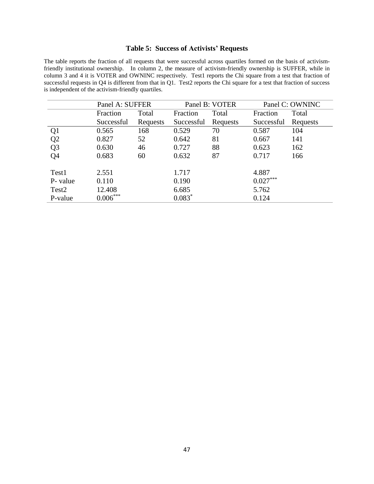### **Table 5: Success of Activists' Requests**

The table reports the fraction of all requests that were successful across quartiles formed on the basis of activismfriendly institutional ownership. In column 2, the measure of activism-friendly ownership is SUFFER, while in column 3 and 4 it is VOTER and OWNINC respectively. Test1 reports the Chi square from a test that fraction of successful requests in Q4 is different from that in Q1. Test2 reports the Chi square for a test that fraction of success is independent of the activism-friendly quartiles.

|                   | Panel A: SUFFER |          | Panel B: VOTER |          | Panel C: OWNINC |          |
|-------------------|-----------------|----------|----------------|----------|-----------------|----------|
|                   | Fraction        | Total    | Fraction       | Total    |                 | Total    |
|                   | Successful      | Requests | Successful     | Requests | Successful      | Requests |
| Q <sub>1</sub>    | 0.565           | 168      | 0.529          | 70       | 0.587           | 104      |
| Q2                | 0.827           | 52       | 0.642          | 81       | 0.667           | 141      |
| Q <sub>3</sub>    | 0.630           | 46       | 0.727          | 88       | 0.623           | 162      |
| Q <sub>4</sub>    | 0.683           | 60       | 0.632          | 87       | 0.717           | 166      |
| Test1             | 2.551           |          | 1.717          |          | 4.887           |          |
| P- value          | 0.110           |          | 0.190          |          | $0.027***$      |          |
| Test <sub>2</sub> | 12.408          |          | 6.685          |          | 5.762           |          |
| P-value           | $0.006***$      |          | $0.083*$       |          | 0.124           |          |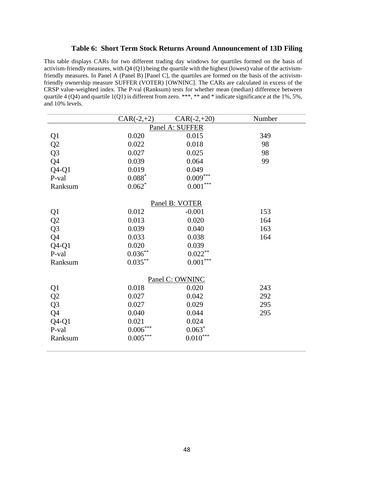#### **Table 6: Short Term Stock Returns Around Announcement of 13D Filing**

This table displays CARs for two different trading day windows for quartiles formed on the basis of activism-friendly measures, with Q4 (Q1) being the quartile with the highest (lowest) value of the activismfriendly measures. In Panel A (Panel B) [Panel C], the quartiles are formed on the basis of the activismfriendly ownership measure SUFFER (VOTER) [OWNINC]. The CARs are calculated in excess of the CRSP value-weighted index. The P-val (Ranksum) tests for whether mean (median) difference between quartile 4 (Q4) and quartile 1(Q1) is different from zero. \*\*\*, \*\* and \* indicate significance at the 1%, 5%, and 10% levels.

|                                    | $CAR(-2,+2)$    | $CAR(-2,+20)$          | Number |  |  |  |  |  |
|------------------------------------|-----------------|------------------------|--------|--|--|--|--|--|
| Panel A: SUFFER                    |                 |                        |        |  |  |  |  |  |
| Q1                                 | 0.020           | 0.015                  | 349    |  |  |  |  |  |
| $\overline{Q2}$                    | 0.022           | 0.018                  | 98     |  |  |  |  |  |
| Q <sub>3</sub>                     | 0.027           | 0.025                  | 98     |  |  |  |  |  |
| Q <sub>4</sub>                     | 0.039           | 0.064                  | 99     |  |  |  |  |  |
| $Q4-Q1$                            | 0.019           | 0.049                  |        |  |  |  |  |  |
| P-val                              | $0.088^\ast$    | $0.009***$             |        |  |  |  |  |  |
| Ranksum                            | $0.062*$        | $0.001^{\ast\ast\ast}$ |        |  |  |  |  |  |
|                                    |                 | Panel B: VOTER         |        |  |  |  |  |  |
| Q <sub>1</sub>                     | 0.012           | $-0.001$               | 153    |  |  |  |  |  |
|                                    | 0.013           | 0.020                  | 164    |  |  |  |  |  |
| $\overline{Q}$<br>$\overline{Q}$ 3 | 0.039           | 0.040                  | 163    |  |  |  |  |  |
| $\overline{Q}4$                    | 0.033           | 0.038                  | 164    |  |  |  |  |  |
| $Q4-Q1$                            | 0.020           | 0.039                  |        |  |  |  |  |  |
| P-val                              | $0.036**$       | $0.022***$             |        |  |  |  |  |  |
| Ranksum                            | $0.035***$      | $0.001^{\ast\ast\ast}$ |        |  |  |  |  |  |
|                                    |                 | Panel C: OWNINC        |        |  |  |  |  |  |
|                                    | 0.018           | 0.020                  | 243    |  |  |  |  |  |
|                                    | 0.027           | 0.042                  | 292    |  |  |  |  |  |
|                                    | 0.027           | 0.029                  | 295    |  |  |  |  |  |
| Q1<br>Q2<br>Q3<br>Q4               | 0.040           | 0.044                  | 295    |  |  |  |  |  |
| $Q4-Q1$                            | 0.021           | 0.024                  |        |  |  |  |  |  |
| P-val                              | $0.006\sp{***}$ | $0.063*$               |        |  |  |  |  |  |
| Ranksum                            | $0.005***$      | $0.010***$             |        |  |  |  |  |  |
|                                    |                 |                        |        |  |  |  |  |  |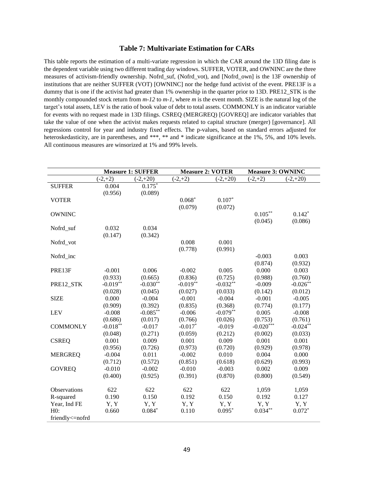#### **Table 7: Multivariate Estimation for CARs**

This table reports the estimation of a multi-variate regression in which the CAR around the 13D filing date is the dependent variable using two different trading day windows. SUFFER, VOTER, and OWNINC are the three measures of activism-friendly ownership. Nofrd\_suf, (Nofrd\_vot), and [Nofrd\_own] is the 13F ownership of institutions that are neither SUFFER (VOT) [OWNINC] nor the hedge fund activist of the event. PRE13F is a dummy that is one if the activist had greater than 1% ownership in the quarter prior to 13D. PRE12\_STK is the monthly compounded stock return from  $m-12$  to  $m-1$ , where m is the event month. SIZE is the natural log of the target's total assets, LEV is the ratio of book value of debt to total assets. COMMONLY is an indicator variable for events with no request made in 13D filings. CSREQ (MERGREQ) [GOVREQ] are indicator variables that take the value of one when the activist makes requests related to capital structure (merger) [governance]. All regressions control for year and industry fixed effects. The p-values, based on standard errors adjusted for heteroskedasticity, are in parentheses, and \*\*\*, \*\* and \* indicate significance at the 1%, 5%, and 10% levels. All continuous measures are winsorized at 1% and 99% levels.

|                     |            | <b>Measure 1: SUFFER</b> | <b>Measure 2: VOTER</b> |            | <b>Measure 3: OWNINC</b> |            |
|---------------------|------------|--------------------------|-------------------------|------------|--------------------------|------------|
|                     | $(-2,+2)$  | $(-2,+20)$               | $(-2,+2)$               | $(-2,+20)$ | $(-2,+2)$                | $(-2,+20)$ |
| <b>SUFFER</b>       | 0.004      | $0.175*$                 |                         |            |                          |            |
|                     | (0.956)    | (0.089)                  |                         |            |                          |            |
| <b>VOTER</b>        |            |                          | $0.068*$                | $0.107*$   |                          |            |
|                     |            |                          | (0.079)                 | (0.072)    |                          |            |
| <b>OWNINC</b>       |            |                          |                         |            | $0.105***$               | $0.142*$   |
|                     |            |                          |                         |            | (0.045)                  | (0.086)    |
| Nofrd_suf           | 0.032      | 0.034                    |                         |            |                          |            |
|                     | (0.147)    | (0.342)                  |                         |            |                          |            |
| Nofrd_vot           |            |                          | 0.008                   | 0.001      |                          |            |
|                     |            |                          | (0.778)                 | (0.991)    |                          |            |
| Nofrd inc           |            |                          |                         |            | $-0.003$                 | 0.003      |
|                     |            |                          |                         |            | (0.874)                  | (0.932)    |
| PRE13F              | $-0.001$   | 0.006                    | $-0.002$                | 0.005      | 0.000                    | 0.003      |
|                     | (0.933)    | (0.665)                  | (0.836)                 | (0.725)    | (0.988)                  | (0.760)    |
| PRE12_STK           | $-0.019**$ | $-0.030**$               | $-0.019**$              | $-0.032**$ | $-0.009$                 | $-0.026**$ |
|                     | (0.028)    | (0.045)                  | (0.027)                 | (0.033)    | (0.142)                  | (0.012)    |
| <b>SIZE</b>         | 0.000      | $-0.004$                 | $-0.001$                | $-0.004$   | $-0.001$                 | $-0.005$   |
|                     | (0.909)    | (0.392)                  | (0.835)                 | (0.368)    | (0.774)                  | (0.177)    |
| <b>LEV</b>          | $-0.008$   | $-0.085**$               | $-0.006$                | $-0.079**$ | 0.005                    | $-0.008$   |
|                     | (0.686)    | (0.017)                  | (0.766)                 | (0.026)    | (0.753)                  | (0.761)    |
| <b>COMMONLY</b>     | $-0.018**$ | $-0.017$                 | $-0.017*$               | $-0.019$   | $-0.020***$              | $-0.024**$ |
|                     | (0.048)    | (0.271)                  | (0.059)                 | (0.212)    | (0.002)                  | (0.033)    |
| <b>CSREQ</b>        | 0.001      | 0.009                    | 0.001                   | 0.009      | 0.001                    | 0.001      |
|                     | (0.956)    | (0.726)                  | (0.973)                 | (0.720)    | (0.929)                  | (0.978)    |
| <b>MERGREQ</b>      | $-0.004$   | 0.011                    | $-0.002$                | 0.010      | 0.004                    | 0.000      |
|                     | (0.712)    | (0.572)                  | (0.851)                 | (0.618)    | (0.629)                  | (0.993)    |
| <b>GOVREQ</b>       | $-0.010$   | $-0.002$                 | $-0.010$                | $-0.003$   | 0.002                    | 0.009      |
|                     | (0.400)    | (0.925)                  | (0.391)                 | (0.870)    | (0.800)                  | (0.549)    |
|                     |            |                          |                         |            |                          |            |
| <b>Observations</b> | 622        | 622                      | 622                     | 622        | 1,059                    | 1,059      |
| R-squared           | 0.190      | 0.150                    | 0.192                   | 0.150      | 0.192                    | 0.127      |
| Year, Ind FE        | Y, Y       | Y, Y                     | Y, Y                    | Y, Y       | Y, Y                     | Y, Y       |
| H0:                 | 0.660      | $0.084*$                 | 0.110                   | $0.095*$   | $0.034***$               | $0.072*$   |
| friendly<=nofrd     |            |                          |                         |            |                          |            |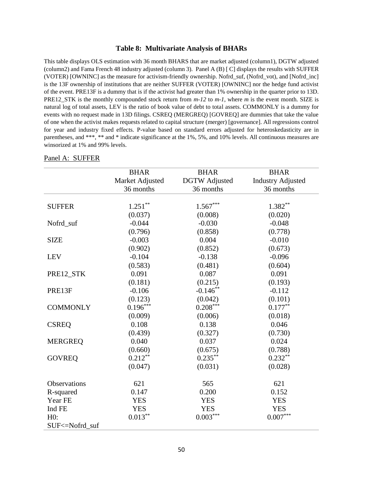#### **Table 8: Multivariate Analysis of BHARs**

This table displays OLS estimation with 36 month BHARS that are market adjusted (column1), DGTW adjusted (column2) and Fama French 48 industry adjusted (column 3). Panel A (B) [ C] displays the results with SUFFER (VOTER) [OWNINC] as the measure for activism-friendly ownership. Nofrd\_suf, (Nofrd\_vot), and [Nofrd\_inc] is the 13F ownership of institutions that are neither SUFFER (VOTER) [OWNINC] nor the hedge fund activist of the event. PRE13F is a dummy that is if the activist had greater than 1% ownership in the quarter prior to 13D. PRE12\_STK is the monthly compounded stock return from *m-12* to *m-1*, where *m* is the event month. SIZE is natural log of total assets, LEV is the ratio of book value of debt to total assets. COMMONLY is a dummy for events with no request made in 13D filings. CSREQ (MERGREQ) [GOVREQ] are dummies that take the value of one when the activist makes requests related to capital structure (merger) [governance]. All regressions control for year and industry fixed effects. P-value based on standard errors adjusted for heteroskedasticity are in parentheses, and \*\*\*, \*\* and \* indicate significance at the 1%, 5%, and 10% levels. All continuous measures are winsorized at 1% and 99% levels.

|                 | <b>BHAR</b>     | <b>BHAR</b>          | <b>BHAR</b>              |
|-----------------|-----------------|----------------------|--------------------------|
|                 | Market Adjusted | <b>DGTW</b> Adjusted | <b>Industry Adjusted</b> |
|                 | 36 months       | 36 months            | 36 months                |
|                 |                 |                      |                          |
| <b>SUFFER</b>   | $1.251***$      | $1.567***$           | $1.382**$                |
|                 | (0.037)         | (0.008)              | (0.020)                  |
| Nofrd_suf       | $-0.044$        | $-0.030$             | $-0.048$                 |
|                 | (0.796)         | (0.858)              | (0.778)                  |
| <b>SIZE</b>     | $-0.003$        | 0.004                | $-0.010$                 |
|                 | (0.902)         | (0.852)              | (0.673)                  |
| <b>LEV</b>      | $-0.104$        | $-0.138$             | $-0.096$                 |
|                 | (0.583)         | (0.481)              | (0.604)                  |
| PRE12_STK       | 0.091           | 0.087                | 0.091                    |
|                 | (0.181)         | (0.215)              | (0.193)                  |
| PRE13F          | $-0.106$        | $-0.146**$           | $-0.112$                 |
|                 | (0.123)         | (0.042)              | (0.101)                  |
| <b>COMMONLY</b> | $0.196***$      | $0.208***$           | $0.177***$               |
|                 | (0.009)         | (0.006)              | (0.018)                  |
| <b>CSREQ</b>    | 0.108           | 0.138                | 0.046                    |
|                 | (0.439)         | (0.327)              | (0.730)                  |
| <b>MERGREQ</b>  | 0.040           | 0.037                | 0.024                    |
|                 | (0.660)         | (0.675)              | (0.788)                  |
| <b>GOVREQ</b>   | $0.212***$      | $0.235***$           | $0.232**$                |
|                 | (0.047)         | (0.031)              | (0.028)                  |
| Observations    | 621             | 565                  | 621                      |
| R-squared       | 0.147           | 0.200                | 0.152                    |
| Year FE         | <b>YES</b>      | <b>YES</b>           | <b>YES</b>               |
| Ind FE          | <b>YES</b>      | <b>YES</b>           | <b>YES</b>               |
| H0:             | $0.013***$      | $0.003***$           | $0.007^{\ast\ast\ast}$   |
| SUF<=Nofrd_suf  |                 |                      |                          |
|                 |                 |                      |                          |

#### Panel A: SUFFER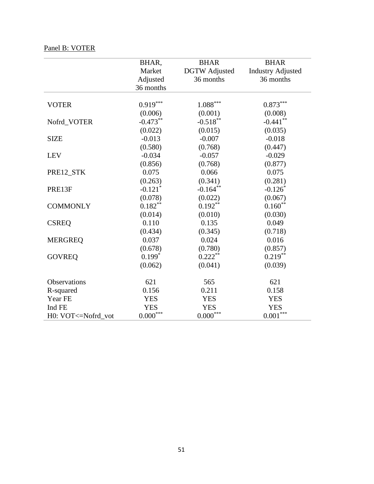# Panel B: VOTER

|                      | BHAR,                 | <b>BHAR</b>            | <b>BHAR</b>              |
|----------------------|-----------------------|------------------------|--------------------------|
|                      | Market                | <b>DGTW</b> Adjusted   | <b>Industry Adjusted</b> |
|                      | Adjusted              | 36 months              | 36 months                |
|                      | 36 months             |                        |                          |
|                      |                       |                        |                          |
| <b>VOTER</b>         | $0.919***$            | $1.088^{\ast\ast\ast}$ | $0.873***$               |
|                      | (0.006)               | (0.001)                | (0.008)                  |
| Nofrd_VOTER          | $-0.473**$            | $-0.518***$            | $-0.441$ **              |
|                      | (0.022)               | (0.015)                | (0.035)                  |
| <b>SIZE</b>          | $-0.013$              | $-0.007$               | $-0.018$                 |
|                      | (0.580)               | (0.768)                | (0.447)                  |
| <b>LEV</b>           | $-0.034$              | $-0.057$               | $-0.029$                 |
|                      | (0.856)               | (0.768)                | (0.877)                  |
| PRE12_STK            | 0.075                 | 0.066                  | 0.075                    |
|                      | (0.263)               | (0.341)                | (0.281)                  |
| PRE13F               | $-0.121$ <sup>*</sup> | $-0.164***$            | $-0.126*$                |
|                      | (0.078)               | (0.022)                | (0.067)                  |
| <b>COMMONLY</b>      | $0.182***$            | $0.192**$              | $0.160**$                |
|                      | (0.014)               | (0.010)                | (0.030)                  |
| <b>CSREQ</b>         | 0.110                 | 0.135                  | 0.049                    |
|                      | (0.434)               | (0.345)                | (0.718)                  |
| <b>MERGREQ</b>       | 0.037                 | 0.024                  | 0.016                    |
|                      | (0.678)               | (0.780)                | (0.857)                  |
| <b>GOVREQ</b>        | $0.199*$              | $0.222***$             | $0.219***$               |
|                      | (0.062)               | (0.041)                | (0.039)                  |
| Observations         | 621                   | 565                    | 621                      |
| R-squared            | 0.156                 | 0.211                  | 0.158                    |
| Year FE              | <b>YES</b>            | <b>YES</b>             | <b>YES</b>               |
| Ind FE               | <b>YES</b>            | <b>YES</b>             | <b>YES</b>               |
| H0: VOT <= Nofrd_vot | $0.000^{***}\,$       | $0.000^{***}\,$        | $0.001***$               |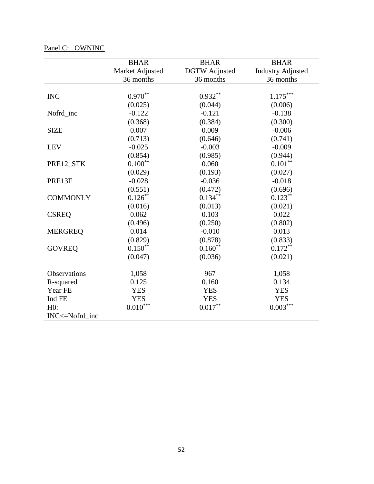|                 | <b>BHAR</b>            | <b>BHAR</b>          | <b>BHAR</b>              |
|-----------------|------------------------|----------------------|--------------------------|
|                 | Market Adjusted        | <b>DGTW</b> Adjusted | <b>Industry Adjusted</b> |
|                 | 36 months              | 36 months            | 36 months                |
|                 |                        |                      |                          |
| <b>INC</b>      | $0.970**$              | $0.932**$            | $1.175***$               |
|                 | (0.025)                | (0.044)              | (0.006)                  |
| Nofrd_inc       | $-0.122$               | $-0.121$             | $-0.138$                 |
|                 | (0.368)                | (0.384)              | (0.300)                  |
| <b>SIZE</b>     | 0.007                  | 0.009                | $-0.006$                 |
|                 | (0.713)                | (0.646)              | (0.741)                  |
| <b>LEV</b>      | $-0.025$               | $-0.003$             | $-0.009$                 |
|                 | (0.854)                | (0.985)              | (0.944)                  |
| PRE12_STK       | $0.100**$              | 0.060                | $0.101***$               |
|                 | (0.029)                | (0.193)              | (0.027)                  |
| PRE13F          | $-0.028$               | $-0.036$             | $-0.018$                 |
|                 | (0.551)                | (0.472)              | (0.696)                  |
| <b>COMMONLY</b> | $0.126***$             | $0.134***$           | $0.123***$               |
|                 | (0.016)                | (0.013)              | (0.021)                  |
| <b>CSREQ</b>    | 0.062                  | 0.103                | 0.022                    |
|                 | (0.496)                | (0.250)              | (0.802)                  |
| <b>MERGREQ</b>  | 0.014                  | $-0.010$             | 0.013                    |
|                 | (0.829)                | (0.878)              | (0.833)                  |
| <b>GOVREQ</b>   | $0.150**$              | $0.160**$            | $0.172***$               |
|                 | (0.047)                | (0.036)              | (0.021)                  |
| Observations    | 1,058                  | 967                  | 1,058                    |
| R-squared       | 0.125                  | 0.160                | 0.134                    |
| Year FE         | <b>YES</b>             | <b>YES</b>           | <b>YES</b>               |
| Ind FE          | <b>YES</b>             | <b>YES</b>           | <b>YES</b>               |
| H0:             | $0.010^{\ast\ast\ast}$ | $0.017***$           | $0.003***$               |
| INC<=Nofrd_inc  |                        |                      |                          |

# Panel C: OWNINC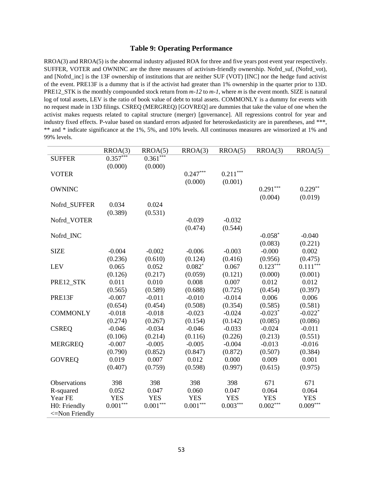#### **Table 9: Operating Performance**

RROA(3) and RROA(5) is the abnormal industry adjusted ROA for three and five years post event year respectively. SUFFER, VOTER and OWNINC are the three measures of activism-friendly ownership. Nofrd\_suf, (Nofrd\_vot), and [Nofrd\_inc] is the 13F ownership of institutions that are neither SUF (VOT) [INC] nor the hedge fund activist of the event. PRE13F is a dummy that is if the activist had greater than 1% ownership in the quarter prior to 13D. PRE12\_STK is the monthly compounded stock return from *m-12* to *m-1*, where *m* is the event month. SIZE is natural log of total assets, LEV is the ratio of book value of debt to total assets. COMMONLY is a dummy for events with no request made in 13D filings. CSREQ (MERGREQ) [GOVREQ] are dummies that take the value of one when the activist makes requests related to capital structure (merger) [governance]. All regressions control for year and industry fixed effects. P-value based on standard errors adjusted for heteroskedasticity are in parentheses, and \*\*\*, \*\* and \* indicate significance at the 1%, 5%, and 10% levels. All continuous measures are winsorized at 1% and 99% levels.

|                     | RROA(3)    | RROA(5)       | RROA(3)    | RROA(5)    | RROA(3)    | RROA(5)    |
|---------------------|------------|---------------|------------|------------|------------|------------|
| <b>SUFFER</b>       | $0.357***$ | $0.361***$    |            |            |            |            |
|                     | (0.000)    | (0.000)       |            |            |            |            |
| <b>VOTER</b>        |            |               | $0.247***$ | $0.211***$ |            |            |
|                     |            |               | (0.000)    | (0.001)    |            |            |
| <b>OWNINC</b>       |            |               |            |            | $0.291***$ | $0.229**$  |
|                     |            |               |            |            | (0.004)    | (0.019)    |
| Nofrd SUFFER        | 0.034      | 0.024         |            |            |            |            |
|                     | (0.389)    | (0.531)       |            |            |            |            |
| Nofrd_VOTER         |            |               | $-0.039$   | $-0.032$   |            |            |
|                     |            |               | (0.474)    | (0.544)    |            |            |
| Nofrd_INC           |            |               |            |            | $-0.058*$  | $-0.040$   |
|                     |            |               |            |            | (0.083)    | (0.221)    |
| <b>SIZE</b>         | $-0.004$   | $-0.002$      | $-0.006$   | $-0.003$   | $-0.000$   | 0.002      |
|                     | (0.236)    | (0.610)       | (0.124)    | (0.416)    | (0.956)    | (0.475)    |
| <b>LEV</b>          | 0.065      | 0.052         | $0.082*$   | 0.067      | $0.123***$ | $0.111***$ |
|                     | (0.126)    | (0.217)       | (0.059)    | (0.121)    | (0.000)    | (0.001)    |
| PRE12 STK           | 0.011      | 0.010         | 0.008      | 0.007      | 0.012      | 0.012      |
|                     | (0.565)    | (0.589)       | (0.688)    | (0.725)    | (0.454)    | (0.397)    |
| PRE13F              | $-0.007$   | $-0.011$      | $-0.010$   | $-0.014$   | 0.006      | 0.006      |
|                     | (0.654)    | (0.454)       | (0.508)    | (0.354)    | (0.585)    | (0.581)    |
| <b>COMMONLY</b>     | $-0.018$   | $-0.018$      | $-0.023$   | $-0.024$   | $-0.023*$  | $-0.022*$  |
|                     | (0.274)    | (0.267)       | (0.154)    | (0.142)    | (0.085)    | (0.086)    |
| <b>CSREQ</b>        | $-0.046$   | $-0.034$      | $-0.046$   | $-0.033$   | $-0.024$   | $-0.011$   |
|                     | (0.106)    | (0.214)       | (0.116)    | (0.226)    | (0.213)    | (0.551)    |
| <b>MERGREQ</b>      | $-0.007$   | $-0.005$      | $-0.005$   | $-0.004$   | $-0.013$   | $-0.016$   |
|                     | (0.790)    | (0.852)       | (0.847)    | (0.872)    | (0.507)    | (0.384)    |
| <b>GOVREQ</b>       | 0.019      | 0.007         | 0.012      | 0.000      | 0.009      | 0.001      |
|                     | (0.407)    | (0.759)       | (0.598)    | (0.997)    | (0.615)    | (0.975)    |
|                     |            |               |            |            |            |            |
| Observations        | 398        | 398           | 398        | 398        | 671        | 671        |
| R-squared           | 0.052      | 0.047         | 0.060      | 0.047      | 0.064      | 0.064      |
| Year FE             | <b>YES</b> | <b>YES</b>    | <b>YES</b> | <b>YES</b> | <b>YES</b> | <b>YES</b> |
| H0: Friendly        | $0.001***$ | $0.001^{***}$ | $0.001***$ | $0.003***$ | $0.002***$ | $0.009***$ |
| $\leq$ Non Friendly |            |               |            |            |            |            |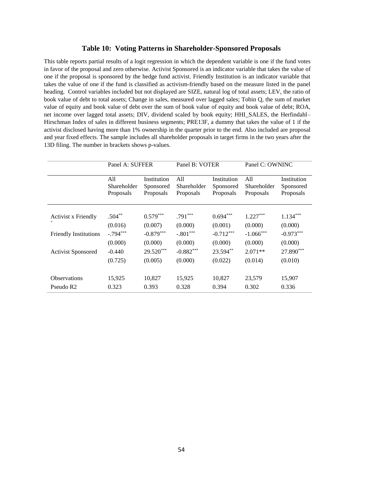#### **Table 10: Voting Patterns in Shareholder-Sponsored Proposals**

This table reports partial results of a logit regression in which the dependent variable is one if the fund votes in favor of the proposal and zero otherwise. Activist Sponsored is an indicator variable that takes the value of one if the proposal is sponsored by the hedge fund activist. Friendly Institution is an indicator variable that takes the value of one if the fund is classified as activism-friendly based on the measure listed in the panel heading. Control variables included but not displayed are SIZE, natural log of total assets; LEV, the ratio of book value of debt to total assets; Change in sales, measured over lagged sales; Tobin Q, the sum of market value of equity and book value of debt over the sum of book value of equity and book value of debt; ROA, net income over lagged total assets; DIV, dividend scaled by book equity; HHI\_SALES, the Herfindahl– Hirschman Index of sales in different business segments; PRE13F, a dummy that takes the value of 1 if the activist disclosed having more than 1% ownership in the quarter prior to the end. Also included are proposal and year fixed effects. The sample includes all shareholder proposals in target firms in the two years after the 13D filing. The number in brackets shows p-values.

|                              | Panel A: SUFFER |             | Panel B: VOTER |             | Panel C: OWNINC |             |
|------------------------------|-----------------|-------------|----------------|-------------|-----------------|-------------|
|                              | All             | Institution | A11            | Institution | All             | Institution |
|                              | Shareholder     | Sponsored   | Shareholder    | Sponsored   | Shareholder     | Sponsored   |
|                              | Proposals       | Proposals   | Proposals      | Proposals   | Proposals       | Proposals   |
| <b>Activist x Friendly</b>   | $.504**$        | $0.579***$  | $.791***$      | $0.694***$  | $1.227***$      | $1.134***$  |
|                              | (0.016)         | (0.007)     | (0.000)        | (0.001)     | (0.000)         | (0.000)     |
| <b>Friendly Institutions</b> | $-.794***$      | $-0.879***$ | $-.801***$     | $-0.712***$ | $-1.066***$     | $-0.973***$ |
|                              | (0.000)         | (0.000)     | (0.000)        | (0.000)     | (0.000)         | (0.000)     |
| <b>Activist Sponsored</b>    | $-0.440$        | 29.520***   | $-0.882***$    | 23.594**    | $2.071**$       | 27.890***   |
|                              | (0.725)         | (0.005)     | (0.000)        | (0.022)     | (0.014)         | (0.010)     |
| <b>Observations</b>          | 15,925          | 10,827      | 15,925         | 10,827      | 23,579          | 15,907      |
| Pseudo R <sub>2</sub>        | 0.323           | 0.393       | 0.328          | 0.394       | 0.302           | 0.336       |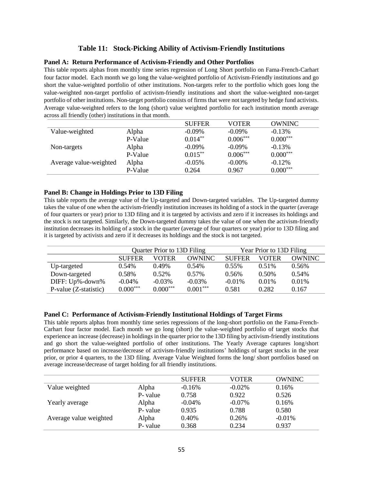### **Table 11: Stock-Picking Ability of Activism-Friendly Institutions**

#### **Panel A: Return Performance of Activism-Friendly and Other Portfolios**

This table reports alphas from monthly time series regression of Long Short portfolio on Fama-French-Carhart four factor model. Each month we go long the value-weighted portfolio of Activism-Friendly institutions and go short the value-weighted portfolio of other institutions. Non-targets refer to the portfolio which goes long the value-weighted non-target portfolio of activism-friendly institutions and short the value-weighted non-target portfolio of other institutions. Non-target portfolio consists of firms that were not targeted by hedge fund activists. Average value-weighted refers to the long (short) value weighted portfolio for each institution month average across all friendly (other) institutions in that month.

|                        |         | <b>SUFFER</b> | VOTER      | <b>OWNINC</b> |
|------------------------|---------|---------------|------------|---------------|
| Value-weighted         | Alpha   | $-0.09\%$     | $-0.09\%$  | $-0.13%$      |
|                        | P-Value | $0.014***$    | $0.006***$ | $0.000***$    |
| Non-targets            | Alpha   | $-0.09\%$     | $-0.09\%$  | $-0.13%$      |
|                        | P-Value | $0.015***$    | $0.006***$ | $0.000***$    |
| Average value-weighted | Alpha   | $-0.05%$      | $-0.00\%$  | $-0.12%$      |
|                        | P-Value | 0.264         | 0.967      | $0.000***$    |

#### **Panel B: Change in Holdings Prior to 13D Filing**

This table reports the average value of the Up-targeted and Down-targeted variables. The Up-targeted dummy takes the value of one when the activism-friendly institution increases its holding of a stock in the quarter (average of four quarters or year) prior to 13D filing and it is targeted by activists and zero if it increases its holdings and the stock is not targeted. Similarly, the Down-targeted dummy takes the value of one when the activism-friendly institution decreases its holding of a stock in the quarter (average of four quarters or year) prior to 13D filing and it is targeted by activists and zero if it decreases its holdings and the stock is not targeted.

|                       | Quarter Prior to 13D Filing |              |               | Year Prior to 13D Filing |          |               |
|-----------------------|-----------------------------|--------------|---------------|--------------------------|----------|---------------|
|                       | <b>SUFFER</b>               | <b>VOTER</b> | <b>OWNINC</b> | <b>SUFFER</b>            | VOTER    | <b>OWNINC</b> |
| Up-targeted           | 0.54%                       | $0.49\%$     | 0.54%         | $0.55\%$                 | $0.51\%$ | 0.56%         |
| Down-targeted         | 0.58%                       | 0.52%        | $0.57\%$      | 0.56%                    | 0.50%    | 0.54%         |
| DIFF: Up%-down%       | $-0.04\%$                   | $-0.03\%$    | $-0.03\%$     | $-0.01\%$                | $0.01\%$ | $0.01\%$      |
| P-value (Z-statistic) | $0.000***$                  | $0.000***$   | $0.001***$    | 0.581                    | 0.282    | 0.167         |

### **Panel C: Performance of Activism-Friendly Institutional Holdings of Target Firms**

This table reports alphas from monthly time series regressions of the long-short portfolio on the Fama-French-Carhart four factor model. Each month we go long (short) the value-weighted portfolio of target stocks that experience an increase (decrease) in holdings in the quarter prior to the 13D filing by activism-friendly institutions and go short the value-weighted portfolio of other institutions. The Yearly Average captures long/short performance based on increase/decrease of activism-friendly institutions' holdings of target stocks in the year prior, or prior 4 quarters, to the 13D filing. Average Value Weighted forms the long/ short portfolios based on average increase/decrease of target holding for all friendly institutions.

|                        |          | <b>SUFFER</b> | VOTER     | <b>OWNINC</b> |
|------------------------|----------|---------------|-----------|---------------|
| Value weighted         | Alpha    | $-0.16%$      | $-0.02\%$ | 0.16%         |
|                        | P- value | 0.758         | 0.922     | 0.526         |
| Yearly average         | Alpha    | $-0.04\%$     | $-0.07\%$ | 0.16%         |
|                        | P- value | 0.935         | 0.788     | 0.580         |
| Average value weighted | Alpha    | 0.40%         | 0.26%     | $-0.01\%$     |
|                        | P- value | 0.368         | 0.234     | 0.937         |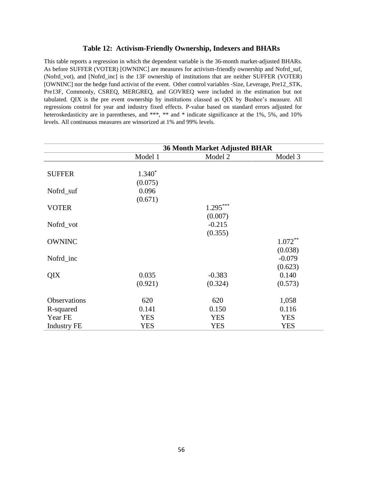#### **Table 12: Activism-Friendly Ownership, Indexers and BHARs**

This table reports a regression in which the dependent variable is the 36-month market-adjusted BHARs. As before SUFFER (VOTER) [OWNINC] are measures for activism-friendly ownership and Nofrd\_suf, (Nofrd\_vot), and [Nofrd\_inc] is the 13F ownership of institutions that are neither SUFFER (VOTER) [OWNINC] nor the hedge fund activist of the event. Other control variables -Size, Leverage, Pre12\_STK, Pre13F, Commonly, CSREQ, MERGREQ, and GOVREQ were included in the estimation but not tabulated. QIX is the pre event ownership by institutions classed as QIX by Bushee's measure. All regressions control for year and industry fixed effects. P-value based on standard errors adjusted for heteroskedasticity are in parentheses, and \*\*\*, \*\* and \* indicate significance at the 1%, 5%, and 10% levels. All continuous measures are winsorized at 1% and 99% levels.

|                    | <b>36 Month Market Adjusted BHAR</b> |            |            |  |  |
|--------------------|--------------------------------------|------------|------------|--|--|
|                    | Model 1                              | Model 2    | Model 3    |  |  |
|                    |                                      |            |            |  |  |
| <b>SUFFER</b>      | $1.340*$                             |            |            |  |  |
|                    | (0.075)                              |            |            |  |  |
| Nofrd_suf          | 0.096                                |            |            |  |  |
|                    | (0.671)                              |            |            |  |  |
| <b>VOTER</b>       |                                      | $1.295***$ |            |  |  |
|                    |                                      | (0.007)    |            |  |  |
| Nofrd_vot          |                                      | $-0.215$   |            |  |  |
|                    |                                      | (0.355)    |            |  |  |
| <b>OWNINC</b>      |                                      |            | $1.072**$  |  |  |
|                    |                                      |            | (0.038)    |  |  |
| Nofrd_inc          |                                      |            | $-0.079$   |  |  |
|                    |                                      |            | (0.623)    |  |  |
| QIX                | 0.035                                | $-0.383$   | 0.140      |  |  |
|                    | (0.921)                              | (0.324)    | (0.573)    |  |  |
|                    |                                      |            |            |  |  |
| Observations       | 620                                  | 620        | 1,058      |  |  |
| R-squared          | 0.141                                | 0.150      | 0.116      |  |  |
| Year FE            | <b>YES</b>                           | <b>YES</b> | <b>YES</b> |  |  |
| <b>Industry FE</b> | <b>YES</b>                           | <b>YES</b> | <b>YES</b> |  |  |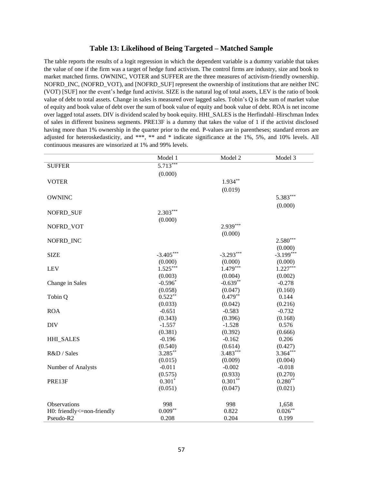#### **Table 13: Likelihood of Being Targeted – Matched Sample**

The table reports the results of a logit regression in which the dependent variable is a dummy variable that takes the value of one if the firm was a target of hedge fund activism. The control firms are industry, size and book to market matched firms. OWNINC, VOTER and SUFFER are the three measures of activism-friendly ownership. NOFRD\_INC, (NOFRD\_VOT), and [NOFRD\_SUF] represent the ownership of institutions that are neither INC (VOT) [SUF] nor the event's hedge fund activist. SIZE is the natural log of total assets, LEV is the ratio of book value of debt to total assets. Change in sales is measured over lagged sales. Tobin's Q is the sum of market value of equity and book value of debt over the sum of book value of equity and book value of debt. ROA is net income over lagged total assets. DIV is dividend scaled by book equity. HHI\_SALES is the Herfindahl–Hirschman Index of sales in different business segments. PRE13F is a dummy that takes the value of 1 if the activist disclosed having more than 1% ownership in the quarter prior to the end. P-values are in parentheses; standard errors are adjusted for heteroskedasticity, and \*\*\*, \*\* and \* indicate significance at the 1%, 5%, and 10% levels. All continuous measures are winsorized at 1% and 99% levels.

|                            | Model 1     | Model 2     | Model 3     |
|----------------------------|-------------|-------------|-------------|
| <b>SUFFER</b>              | $5.713***$  |             |             |
|                            | (0.000)     |             |             |
| <b>VOTER</b>               |             | $1.934**$   |             |
|                            |             | (0.019)     |             |
| <b>OWNINC</b>              |             |             | $5.383***$  |
|                            |             |             | (0.000)     |
| NOFRD_SUF                  | $2.303***$  |             |             |
|                            | (0.000)     |             |             |
| NOFRD VOT                  |             | $2.939***$  |             |
|                            |             | (0.000)     |             |
| NOFRD_INC                  |             |             | $2.580***$  |
|                            |             |             | (0.000)     |
| <b>SIZE</b>                | $-3.405***$ | $-3.293***$ | $-3.199***$ |
|                            | (0.000)     | (0.000)     | (0.000)     |
| <b>LEV</b>                 | $1.525***$  | $1.479***$  | $1.227***$  |
|                            | (0.003)     | (0.004)     | (0.002)     |
| Change in Sales            | $-0.596*$   | $-0.639**$  | $-0.278$    |
|                            | (0.058)     | (0.047)     | (0.160)     |
| Tobin Q                    | $0.522**$   | $0.479**$   | 0.144       |
|                            | (0.033)     | (0.042)     | (0.216)     |
| <b>ROA</b>                 | $-0.651$    | $-0.583$    | $-0.732$    |
|                            | (0.343)     | (0.396)     | (0.168)     |
| <b>DIV</b>                 | $-1.557$    | $-1.528$    | 0.576       |
|                            | (0.381)     | (0.392)     | (0.666)     |
| <b>HHI_SALES</b>           | $-0.196$    | $-0.162$    | 0.206       |
|                            | (0.540)     | (0.614)     | (0.427)     |
| R&D / Sales                | $3.285***$  | $3.483***$  | $3.364***$  |
|                            | (0.015)     | (0.009)     | (0.004)     |
| Number of Analysts         | $-0.011$    | $-0.002$    | $-0.018$    |
|                            | (0.575)     | (0.933)     | (0.270)     |
| PRE13F                     | $0.301*$    | $0.301**$   | $0.280**$   |
|                            | (0.051)     | (0.047)     | (0.021)     |
|                            |             |             |             |
| <b>Observations</b>        | 998         | 998         | 1,658       |
| H0: friendly<=non-friendly | $0.009**$   | 0.822       | $0.026***$  |
| Pseudo-R2                  | 0.208       | 0.204       | 0.199       |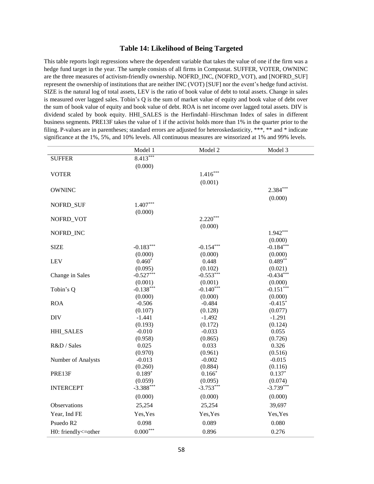#### **Table 14: Likelihood of Being Targeted**

This table reports logit regressions where the dependent variable that takes the value of one if the firm was a hedge fund target in the year. The sample consists of all firms in Compustat. SUFFER, VOTER, OWNINC are the three measures of activism-friendly ownership. NOFRD\_INC, (NOFRD\_VOT), and [NOFRD\_SUF] represent the ownership of institutions that are neither INC (VOT) [SUF] nor the event's hedge fund activist. SIZE is the natural log of total assets, LEV is the ratio of book value of debt to total assets. Change in sales is measured over lagged sales. Tobin's Q is the sum of market value of equity and book value of debt over the sum of book value of equity and book value of debt. ROA is net income over lagged total assets. DIV is dividend scaled by book equity. HHI\_SALES is the Herfindahl–Hirschman Index of sales in different business segments. PRE13F takes the value of 1 if the activist holds more than 1% in the quarter prior to the filing. P-values are in parentheses; standard errors are adjusted for heteroskedasticity, \*\*\*, \*\* and \* indicate significance at the 1%, 5%, and 10% levels. All continuous measures are winsorized at 1% and 99% levels.

|                       | Model 1         | Model 2     | Model 3     |
|-----------------------|-----------------|-------------|-------------|
| <b>SUFFER</b>         | $8.413***$      |             |             |
|                       | (0.000)         |             |             |
| <b>VOTER</b>          |                 | $1.416***$  |             |
|                       |                 | (0.001)     |             |
| <b>OWNINC</b>         |                 |             | $2.384***$  |
|                       |                 |             | (0.000)     |
| NOFRD_SUF             | $1.407***$      |             |             |
|                       | (0.000)         |             |             |
| NOFRD_VOT             |                 | $2.220***$  |             |
|                       |                 | (0.000)     |             |
| NOFRD_INC             |                 |             | $1.942***$  |
|                       |                 |             | (0.000)     |
| <b>SIZE</b>           | $-0.183***$     | $-0.154***$ | $-0.184***$ |
|                       | (0.000)         | (0.000)     | (0.000)     |
| <b>LEV</b>            | $0.460*$        | 0.448       | $0.489**$   |
|                       | (0.095)         | (0.102)     | (0.021)     |
| Change in Sales       | $-0.527***$     | $-0.553***$ | $-0.434***$ |
|                       | (0.001)         | (0.001)     | (0.000)     |
| Tobin's Q             | $-0.138***$     | $-0.140***$ | $-0.151***$ |
|                       | (0.000)         | (0.000)     | (0.000)     |
| <b>ROA</b>            | $-0.506$        | $-0.484$    | $-0.415*$   |
|                       | (0.107)         | (0.128)     | (0.077)     |
| <b>DIV</b>            | $-1.441$        | $-1.492$    | $-1.291$    |
|                       | (0.193)         | (0.172)     | (0.124)     |
| <b>HHI_SALES</b>      | $-0.010$        | $-0.033$    | 0.055       |
|                       | (0.958)         | (0.865)     | (0.726)     |
| R&D / Sales           | 0.025           | 0.033       | 0.326       |
|                       | (0.970)         | (0.961)     | (0.516)     |
| Number of Analysts    | $-0.013$        | $-0.002$    | $-0.015$    |
|                       | (0.260)         | (0.884)     | (0.116)     |
| PRE13F                | $0.189*$        | $0.166*$    | $0.137*$    |
|                       | (0.059)         | (0.095)     | (0.074)     |
| <b>INTERCEPT</b>      | $-3.388***$     | $-3.753***$ | $-3.739***$ |
|                       | (0.000)         | (0.000)     | (0.000)     |
| Observations          | 25,254          | 25,254      | 39,697      |
| Year, Ind FE          | Yes, Yes        | Yes, Yes    | Yes, Yes    |
| Psuedo R <sub>2</sub> | 0.098           | 0.089       | 0.080       |
| H0: friendly<=other   | $0.000^{***}\,$ | 0.896       | 0.276       |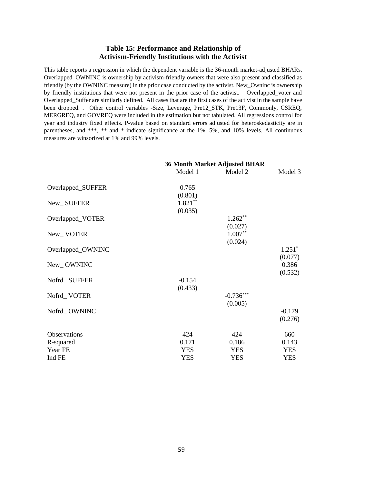### **Table 15: Performance and Relationship of Activism-Friendly Institutions with the Activist**

This table reports a regression in which the dependent variable is the 36-month market-adjusted BHARs. Overlapped\_OWNINC is ownership by activism-friendly owners that were also present and classified as friendly (by the OWNINC measure) in the prior case conducted by the activist. New\_Owninc is ownership by friendly institutions that were not present in the prior case of the activist. Overlapped\_voter and Overlapped\_Suffer are similarly defined. All cases that are the first cases of the activist in the sample have been dropped. . Other control variables -Size, Leverage, Pre12\_STK, Pre13F, Commonly, CSREQ, MERGREQ, and GOVREQ were included in the estimation but not tabulated. All regressions control for year and industry fixed effects. P-value based on standard errors adjusted for heteroskedasticity are in parentheses, and \*\*\*, \*\* and \* indicate significance at the 1%, 5%, and 10% levels. All continuous measures are winsorized at 1% and 99% levels.

|                   | <b>36 Month Market Adjusted BHAR</b> |             |            |  |  |
|-------------------|--------------------------------------|-------------|------------|--|--|
|                   | Model 1                              | Model 2     | Model 3    |  |  |
|                   |                                      |             |            |  |  |
| Overlapped_SUFFER | 0.765                                |             |            |  |  |
|                   | (0.801)                              |             |            |  |  |
| New_SUFFER        | $1.821***$                           |             |            |  |  |
|                   | (0.035)                              |             |            |  |  |
| Overlapped_VOTER  |                                      | $1.262**$   |            |  |  |
|                   |                                      | (0.027)     |            |  |  |
| New_VOTER         |                                      | $1.007**$   |            |  |  |
|                   |                                      | (0.024)     |            |  |  |
| Overlapped_OWNINC |                                      |             | $1.251*$   |  |  |
|                   |                                      |             | (0.077)    |  |  |
| New_OWNINC        |                                      |             | 0.386      |  |  |
|                   |                                      |             | (0.532)    |  |  |
| Nofrd_SUFFER      | $-0.154$                             |             |            |  |  |
|                   | (0.433)                              |             |            |  |  |
| Nofrd_VOTER       |                                      | $-0.736***$ |            |  |  |
|                   |                                      | (0.005)     |            |  |  |
| Nofrd_OWNINC      |                                      |             | $-0.179$   |  |  |
|                   |                                      |             | (0.276)    |  |  |
|                   |                                      |             |            |  |  |
| Observations      | 424                                  | 424         | 660        |  |  |
| R-squared         | 0.171                                | 0.186       | 0.143      |  |  |
| Year FE           | <b>YES</b>                           | <b>YES</b>  | <b>YES</b> |  |  |
| Ind FE            | <b>YES</b>                           | <b>YES</b>  | <b>YES</b> |  |  |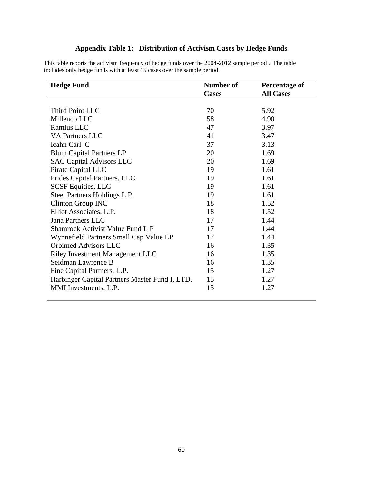# **Appendix Table 1: Distribution of Activism Cases by Hedge Funds**

This table reports the activism frequency of hedge funds over the 2004-2012 sample period . The table includes only hedge funds with at least 15 cases over the sample period.

| <b>Hedge Fund</b>                              | Number of    | <b>Percentage of</b> |
|------------------------------------------------|--------------|----------------------|
|                                                | <b>Cases</b> | <b>All Cases</b>     |
|                                                |              |                      |
| Third Point LLC                                | 70           | 5.92                 |
| Millenco LLC                                   | 58           | 4.90                 |
| Ramius LLC                                     | 47           | 3.97                 |
| <b>VA Partners LLC</b>                         | 41           | 3.47                 |
| Icahn Carl C                                   | 37           | 3.13                 |
| <b>Blum Capital Partners LP</b>                | 20           | 1.69                 |
| <b>SAC Capital Advisors LLC</b>                | 20           | 1.69                 |
| Pirate Capital LLC                             | 19           | 1.61                 |
| Prides Capital Partners, LLC                   | 19           | 1.61                 |
| <b>SCSF Equities, LLC</b>                      | 19           | 1.61                 |
| Steel Partners Holdings L.P.                   | 19           | 1.61                 |
| Clinton Group INC                              | 18           | 1.52                 |
| Elliot Associates, L.P.                        | 18           | 1.52                 |
| Jana Partners LLC                              | 17           | 1.44                 |
| Shamrock Activist Value Fund L P               | 17           | 1.44                 |
| Wynnefield Partners Small Cap Value LP         | 17           | 1.44                 |
| Orbimed Advisors LLC                           | 16           | 1.35                 |
| <b>Riley Investment Management LLC</b>         | 16           | 1.35                 |
| Seidman Lawrence B                             | 16           | 1.35                 |
| Fine Capital Partners, L.P.                    | 15           | 1.27                 |
| Harbinger Capital Partners Master Fund I, LTD. | 15           | 1.27                 |
| MMI Investments, L.P.                          | 15           | 1.27                 |
|                                                |              |                      |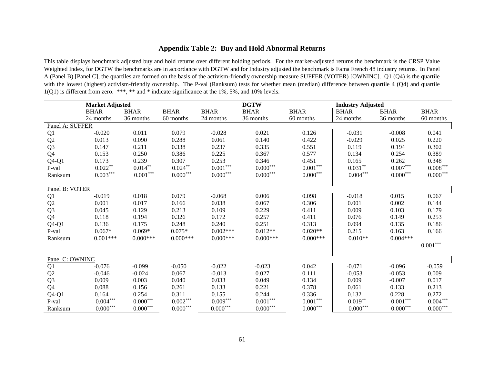### **Appendix Table 2: Buy and Hold Abnormal Returns**

This table displays benchmark adjusted buy and hold returns over different holding periods. For the market-adjusted returns the benchmark is the CRSP Value Weighted Index, for DGTW the benchmarks are in accordance with DGTW and for Industry adjusted the benchmark is Fama French 48 industry returns. In Panel A (Panel B) [Panel C], the quartiles are formed on the basis of the activism-friendly ownership measure SUFFER (VOTER) [OWNINC]. Q1 (Q4) is the quartile with the lowest (highest) activism-friendly ownership. The P-val (Ranksum) tests for whether mean (median) difference between quartile 4 (Q4) and quartile 1(Q1) is different from zero. \*\*\*, \*\* and \* indicate significance at the 1%, 5%, and 10% levels.

|                 | <b>Market Adjusted</b> |                        |                 |                     | <b>DGTW</b>            |                 | <b>Industry Adjusted</b> |                        |                        |
|-----------------|------------------------|------------------------|-----------------|---------------------|------------------------|-----------------|--------------------------|------------------------|------------------------|
|                 | <b>BHAR</b>            | <b>BHAR</b>            | <b>BHAR</b>     | <b>BHAR</b>         | <b>BHAR</b>            | <b>BHAR</b>     | <b>BHAR</b>              | <b>BHAR</b>            | <b>BHAR</b>            |
|                 | 24 months              | 36 months              | 60 months       | 24 months           | 36 months              | 60 months       | 24 months                | 36 months              | 60 months              |
| Panel A: SUFFER |                        |                        |                 |                     |                        |                 |                          |                        |                        |
| Q1              | $-0.020$               | 0.011                  | 0.079           | $-0.028$            | 0.021                  | 0.126           | $-0.031$                 | $-0.008$               | 0.041                  |
| Q2              | 0.013                  | 0.090                  | 0.288           | 0.061               | 0.140                  | 0.422           | $-0.029$                 | 0.025                  | 0.220                  |
| Q <sub>3</sub>  | 0.147                  | 0.211                  | 0.338           | 0.237               | 0.335                  | 0.551           | 0.119                    | 0.194                  | 0.302                  |
| Q4              | 0.153                  | 0.250                  | 0.386           | 0.225               | 0.367                  | 0.577           | 0.134                    | 0.254                  | 0.389                  |
| $Q4-Q1$         | 0.173                  | 0.239                  | 0.307           | 0.253               | 0.346                  | 0.451           | 0.165                    | 0.262                  | 0.348                  |
| P-val           | $0.022**$              | $0.014***$             | $0.024***$      | $0.001***$          | $0.000^{***}$          | $0.001***$      | $0.031***$               | $0.007^{\ast\ast\ast}$ | $0.008^{\ast\ast\ast}$ |
| Ranksum         | $0.003***$             | $0.001^{\ast\ast\ast}$ | $0.000***$      | $0.000^{***}\,$     | $0.000^{***}\,$        | $0.000***$      | $0.004***$               | $0.000***$             | $0.000***$             |
| Panel B: VOTER  |                        |                        |                 |                     |                        |                 |                          |                        |                        |
| Q1              | $-0.019$               | 0.018                  | 0.079           | $-0.068$            | 0.006                  | 0.098           | $-0.018$                 | 0.015                  | 0.067                  |
| Q2              | 0.001                  | 0.017                  | 0.166           | 0.038               | 0.067                  | 0.306           | 0.001                    | 0.002                  | 0.144                  |
| Q <sub>3</sub>  | 0.045                  | 0.129                  | 0.213           | 0.109               | 0.229                  | 0.411           | 0.009                    | 0.103                  | 0.179                  |
| Q4              | 0.118                  | 0.194                  | 0.326           | 0.172               | 0.257                  | 0.411           | 0.076                    | 0.149                  | 0.253                  |
| $Q4-Q1$         | 0.136                  | 0.175                  | 0.248           | 0.240               | 0.251                  | 0.313           | 0.094                    | 0.135                  | 0.186                  |
| P-val           | $0.067*$               | $0.069*$               | $0.075*$        | $0.002***$          | $0.012**$              | $0.020**$       | 0.215                    | 0.163                  | 0.166                  |
| Ranksum         | $0.001***$             | $0.000***$             | $0.000***$      | $0.000***$          | $0.000***$             | $0.000***$      | $0.010**$                | $0.004***$             |                        |
|                 |                        |                        |                 |                     |                        |                 |                          |                        | $0.001^{\ast\ast\ast}$ |
| Panel C: OWNINC |                        |                        |                 |                     |                        |                 |                          |                        |                        |
| Q1              | $-0.076$               | $-0.099$               | $-0.050$        | $-0.022$            | $-0.023$               | 0.042           | $-0.071$                 | $-0.096$               | $-0.059$               |
|                 | $-0.046$               | $-0.024$               | 0.067           | $-0.013$            | 0.027                  | 0.111           | $-0.053$                 | $-0.053$               | 0.009                  |
| Q2              | 0.009                  | 0.003                  | 0.040           | 0.033               | 0.049                  | 0.134           | 0.009                    | $-0.007$               | 0.017                  |
| Q <sub>3</sub>  |                        |                        |                 |                     |                        |                 |                          |                        |                        |
| Q <sub>4</sub>  | 0.088                  | 0.156                  | 0.261           | 0.133               | 0.221                  | 0.378           | 0.061                    | 0.133                  | 0.213                  |
| $Q4-Q1$         | 0.164                  | 0.254                  | 0.311           | 0.155<br>$0.009***$ | 0.244                  | 0.336           | 0.132                    | 0.228                  | 0.272                  |
| P-val           | $0.004^{***}$          | $0.000***$             | $0.002^{***}$   |                     | $0.001^{\ast\ast\ast}$ | $0.001***$      | $0.019**$                | $0.001***$             | $0.004***$             |
| Ranksum         | $0.000***$             | $0.000^{***}$          | $0.000^{***}\,$ | $0.000***$          | $0.000^{***}\,$        | $0.000^{***}\,$ | $0.000^{\ast\ast\ast}$   | $0.000***$             | $0.000^{***}$          |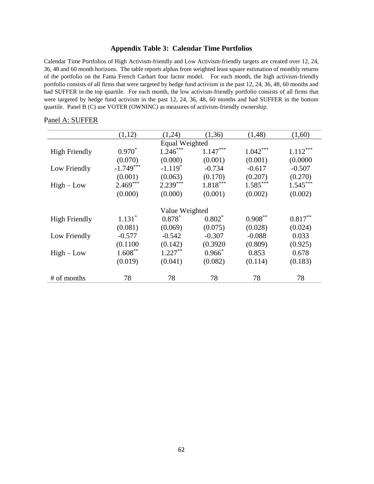#### **Appendix Table 3: Calendar Time Portfolios**

Calendar Time Portfolios of High Activism-friendly and Low Activism-friendly targets are created over 12, 24, 36, 48 and 60 month horizons. The table reports alphas from weighted least square estimation of monthly returns of the portfolio on the Fama French Carhart four factor model. For each month, the high activism-friendly portfolio consists of all firms that were targeted by hedge fund activism in the past 12, 24, 36, 48, 60 months and had SUFFER in the top quartile. For each month, the low activism-friendly portfolio consists of all firms that were targeted by hedge fund activism in the past 12, 24, 36, 48, 60 months and had SUFFER in the bottom quartile. Panel B (C) use VOTER (OWNINC) as measures of activism-friendly ownership.

|                      | (1,12)      | (1,24)         | (1,36)     | (1, 48)    | (1,60)     |  |  |  |
|----------------------|-------------|----------------|------------|------------|------------|--|--|--|
| Equal Weighted       |             |                |            |            |            |  |  |  |
| <b>High Friendly</b> | $0.970*$    | $1.246***$     | $1.147***$ | $1.042***$ | $1.112***$ |  |  |  |
|                      | (0.070)     | (0.000)        | (0.001)    | (0.001)    | (0.0000)   |  |  |  |
| Low Friendly         | $-1.749***$ | $-1.119*$      | $-0.734$   | $-0.617$   | $-0.507$   |  |  |  |
|                      | (0.001)     | (0.063)        | (0.170)    | (0.207)    | (0.270)    |  |  |  |
| $High-Low$           | $2.469***$  | $2.239***$     | $1.818***$ | $1.585***$ | $1.545***$ |  |  |  |
|                      | (0.000)     | (0.000)        | (0.001)    | (0.002)    | (0.002)    |  |  |  |
|                      |             |                |            |            |            |  |  |  |
|                      |             | Value Weighted |            |            |            |  |  |  |
| High Friendly        | $1.131*$    | $0.878*$       | $0.802*$   | $0.908***$ | $0.817***$ |  |  |  |
|                      | (0.081)     | (0.069)        | (0.075)    | (0.028)    | (0.024)    |  |  |  |
| Low Friendly         | $-0.577$    | $-0.542$       | $-0.307$   | $-0.088$   | 0.033      |  |  |  |
|                      | (0.1100)    | (0.142)        | (0.3920)   | (0.809)    | (0.925)    |  |  |  |
| $High-Low$           | $1.608***$  | $1.227***$     | $0.966*$   | 0.853      | 0.678      |  |  |  |
|                      | (0.019)     | (0.041)        | (0.082)    | (0.114)    | (0.183)    |  |  |  |
|                      |             |                |            |            |            |  |  |  |
| # of months          | 78          | 78             | 78         | 78         | 78         |  |  |  |

#### Panel A: SUFFER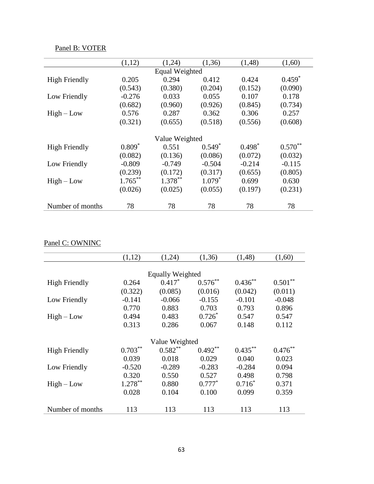| Panel B: VOTER |  |
|----------------|--|
|                |  |

|                      | (1,12)     | (1,24)         | (1,36)   | (1,48)   | (1,60)    |  |  |  |
|----------------------|------------|----------------|----------|----------|-----------|--|--|--|
| Equal Weighted       |            |                |          |          |           |  |  |  |
| <b>High Friendly</b> | 0.205      | 0.294          | 0.412    | 0.424    | $0.459*$  |  |  |  |
|                      | (0.543)    | (0.380)        | (0.204)  | (0.152)  | (0.090)   |  |  |  |
| Low Friendly         | $-0.276$   | 0.033          | 0.055    | 0.107    | 0.178     |  |  |  |
|                      | (0.682)    | (0.960)        | (0.926)  | (0.845)  | (0.734)   |  |  |  |
| $High-Low$           | 0.576      | 0.287          | 0.362    | 0.306    | 0.257     |  |  |  |
|                      | (0.321)    | (0.655)        | (0.518)  | (0.556)  | (0.608)   |  |  |  |
|                      |            |                |          |          |           |  |  |  |
|                      |            | Value Weighted |          |          |           |  |  |  |
| <b>High Friendly</b> | $0.809*$   | 0.551          | $0.549*$ | $0.498*$ | $0.570**$ |  |  |  |
|                      | (0.082)    | (0.136)        | (0.086)  | (0.072)  | (0.032)   |  |  |  |
| Low Friendly         | $-0.809$   | $-0.749$       | $-0.504$ | $-0.214$ | $-0.115$  |  |  |  |
|                      | (0.239)    | (0.172)        | (0.317)  | (0.655)  | (0.805)   |  |  |  |
| $High-Low$           | $1.765***$ | $1.378***$     | $1.079*$ | 0.699    | 0.630     |  |  |  |
|                      | (0.026)    | (0.025)        | (0.055)  | (0.197)  | (0.231)   |  |  |  |
|                      |            |                |          |          |           |  |  |  |
| Number of months     | 78         | 78             | 78       | 78       | 78        |  |  |  |

# Panel C: OWNINC

|                         | (1,12)     | (1,24)     | (1,36)     | (1, 48)    | (1,60)     |  |
|-------------------------|------------|------------|------------|------------|------------|--|
|                         |            |            |            |            |            |  |
| <b>Equally Weighted</b> |            |            |            |            |            |  |
| <b>High Friendly</b>    | 0.264      | $0.417*$   | $0.576***$ | $0.436***$ | $0.501***$ |  |
|                         | (0.322)    | (0.085)    | (0.016)    | (0.042)    | (0.011)    |  |
| Low Friendly            | $-0.141$   | $-0.066$   | $-0.155$   | $-0.101$   | $-0.048$   |  |
|                         | 0.770      | 0.883      | 0.703      | 0.793      | 0.896      |  |
| $High - Low$            | 0.494      | 0.483      | $0.726*$   | 0.547      | 0.547      |  |
|                         | 0.313      | 0.286      | 0.067      | 0.148      | 0.112      |  |
|                         |            |            |            |            |            |  |
| Value Weighted          |            |            |            |            |            |  |
| <b>High Friendly</b>    | $0.703***$ | $0.582***$ | $0.492**$  | $0.435***$ | $0.476***$ |  |
|                         | 0.039      | 0.018      | 0.029      | 0.040      | 0.023      |  |
| Low Friendly            | $-0.520$   | $-0.289$   | $-0.283$   | $-0.284$   | 0.094      |  |
|                         | 0.320      | 0.550      | 0.527      | 0.498      | 0.798      |  |
| $High - Low$            | $1.278***$ | 0.880      | $0.777*$   | $0.716*$   | 0.371      |  |
|                         | 0.028      | 0.104      | 0.100      | 0.099      | 0.359      |  |
|                         |            |            |            |            |            |  |
| Number of months        | 113        | 113        | 113        | 113        | 113        |  |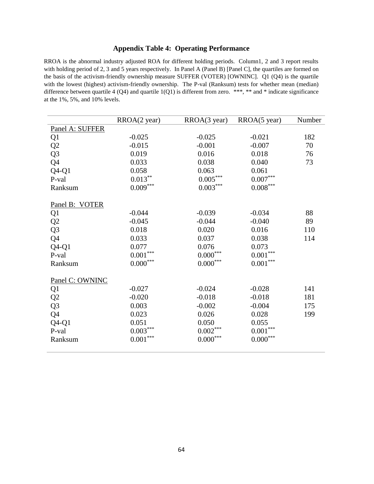### **Appendix Table 4: Operating Performance**

RROA is the abnormal industry adjusted ROA for different holding periods. Column1, 2 and 3 report results with holding period of 2, 3 and 5 years respectively. In Panel A (Panel B) [Panel C], the quartiles are formed on the basis of the activism-friendly ownership measure SUFFER (VOTER) [OWNINC]. Q1 (Q4) is the quartile with the lowest (highest) activism-friendly ownership. The P-val (Ranksum) tests for whether mean (median) difference between quartile 4 (Q4) and quartile 1(Q1) is different from zero. \*\*\*, \*\* and \* indicate significance at the 1%, 5%, and 10% levels.

|                 | RROA(2 year)           | RROA(3 year)    | RROA(5 year)           | Number |
|-----------------|------------------------|-----------------|------------------------|--------|
| Panel A: SUFFER |                        |                 |                        |        |
| Q <sub>1</sub>  | $-0.025$               | $-0.025$        | $-0.021$               | 182    |
| Q2              | $-0.015$               | $-0.001$        | $-0.007$               | 70     |
| Q <sub>3</sub>  | 0.019                  | 0.016           | 0.018                  | 76     |
| Q4              | 0.033                  | 0.038           | 0.040                  | 73     |
| $Q4-Q1$         | 0.058                  | 0.063           | 0.061                  |        |
| P-val           | $0.013***$             | $0.005^{***}$   | $0.007^{\ast\ast\ast}$ |        |
| Ranksum         | $0.009***$             | $0.003^{***}$   | $0.008^{\ast\ast\ast}$ |        |
| Panel B: VOTER  |                        |                 |                        |        |
| Q <sub>1</sub>  | $-0.044$               | $-0.039$        | $-0.034$               | 88     |
| Q2              | $-0.045$               | $-0.044$        | $-0.040$               | 89     |
| Q <sub>3</sub>  | 0.018                  | 0.020           | 0.016                  | 110    |
| Q4              | 0.033                  | 0.037           | 0.038                  | 114    |
| $Q4-Q1$         | 0.077                  | 0.076           | 0.073                  |        |
| P-val           | $0.001^{\ast\ast\ast}$ | $0.000^{***}\,$ | $0.001^{\ast\ast\ast}$ |        |
| Ranksum         | $0.000^{***}\,$        | $0.000***$      | $0.001^{\ast\ast\ast}$ |        |
| Panel C: OWNINC |                        |                 |                        |        |
| Q <sub>1</sub>  | $-0.027$               | $-0.024$        | $-0.028$               | 141    |
| Q2              | $-0.020$               | $-0.018$        | $-0.018$               | 181    |
| Q <sub>3</sub>  | 0.003                  | $-0.002$        | $-0.004$               | 175    |
| Q4              | 0.023                  | 0.026           | 0.028                  | 199    |
| $Q4-Q1$         | 0.051                  | 0.050           | 0.055                  |        |
| P-val           | $0.003\sp{***}$        | $0.002\sp{***}$ | $0.001^{\ast\ast\ast}$ |        |
| Ranksum         | $0.001\sp{***}$        | $0.000***$      | $0.000^{***}\,$        |        |
|                 |                        |                 |                        |        |